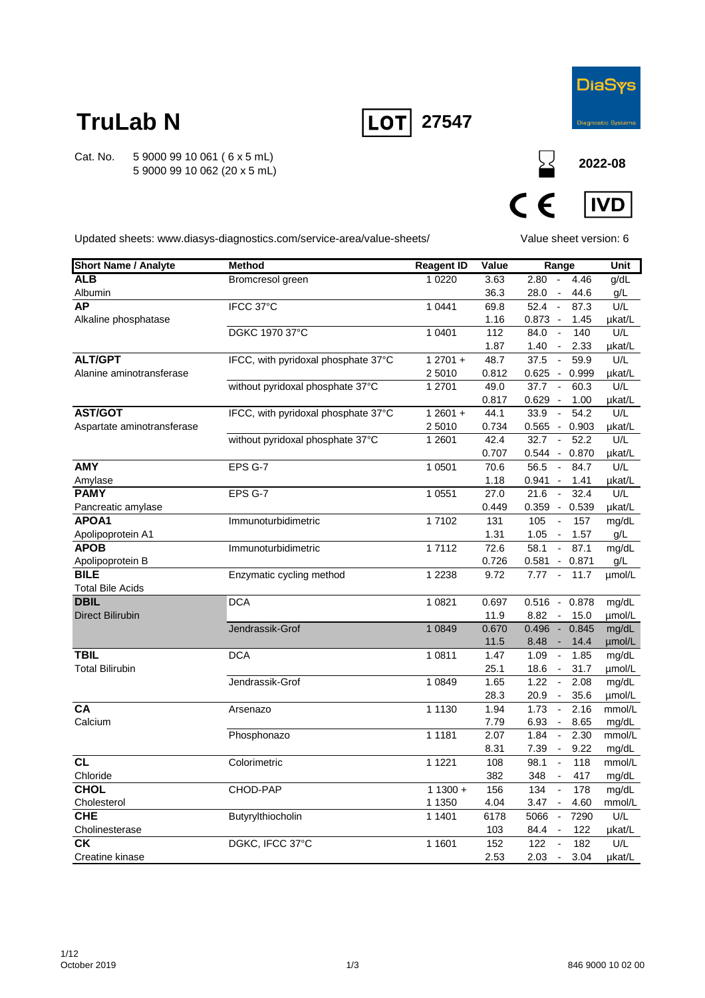

**2022-08**

# **TruLab N**

Cat. No. 5 9000 99 10 061 ( 6 x 5 mL) 5 9000 99 10 062 (20 x 5 mL)



 $C \in$ **IVD** 

 $\sum$ 

Updated sheets: www.diasys-diagnostics.com/service-area/value-sheets/

Value sheet version: 6

| <b>Short Name / Analyte</b> | <b>Method</b>                       | <b>Reagent ID</b> | Value | Range                                    | <b>Unit</b> |
|-----------------------------|-------------------------------------|-------------------|-------|------------------------------------------|-------------|
| AL <sub>B</sub>             | Bromcresol green                    | 1 0 2 2 0         | 3.63  | $2.80 -$<br>4.46                         | g/dL        |
| Albumin                     |                                     |                   | 36.3  | 28.0<br>44.6<br>$\overline{\phantom{a}}$ | g/L         |
| <b>AP</b>                   | IFCC 37°C                           | 1 0 4 4 1         | 69.8  | 87.3<br>52.4<br>$\sim$                   | U/L         |
| Alkaline phosphatase        |                                     |                   | 1.16  | 0.873 -<br>1.45                          | µkat/L      |
|                             | DGKC 1970 37°C                      | 1 0401            | 112   | 84.0<br>140<br>$\blacksquare$            | U/L         |
|                             |                                     |                   | 1.87  | 1.40<br>2.33<br>$\overline{\phantom{a}}$ | µkat/L      |
| <b>ALT/GPT</b>              | IFCC, with pyridoxal phosphate 37°C | $12701 +$         | 48.7  | 37.5<br>59.9<br>$\blacksquare$           | U/L         |
| Alanine aminotransferase    |                                     | 2 5010            | 0.812 | $0.625 -$<br>0.999                       | µkat/L      |
|                             | without pyridoxal phosphate 37°C    | 1 2701            | 49.0  | $\sim$<br>37.7<br>60.3                   | U/L         |
|                             |                                     |                   | 0.817 | $0.629 -$<br>1.00                        | µkat/L      |
| <b>AST/GOT</b>              | IFCC, with pyridoxal phosphate 37°C | $12601 +$         | 44.1  | 33.9<br>54.2<br>$\sim$                   | U/L         |
| Aspartate aminotransferase  |                                     | 2 5010            | 0.734 | $0.565 - 0.903$                          | µkat/L      |
|                             | without pyridoxal phosphate 37°C    | 1 2 6 0 1         | 42.4  | 32.7<br>52.2<br>$\sim$                   | U/L         |
|                             |                                     |                   | 0.707 | $0.544 -$<br>0.870                       | µkat/L      |
| <b>AMY</b>                  | EPS G-7                             | 1 0 5 0 1         | 70.6  | 56.5<br>$\blacksquare$<br>84.7           | U/L         |
| Amylase                     |                                     |                   | 1.18  | 0.941<br>1.41<br>$\sim$                  | µkat/L      |
| <b>PAMY</b>                 | EPS G-7                             | 1 0 5 5 1         | 27.0  | 21.6<br>$\sim$<br>32.4                   | U/L         |
| Pancreatic amylase          |                                     |                   | 0.449 | 0.359 - 0.539                            | µkat/L      |
| APOA1                       | Immunoturbidimetric                 | 17102             | 131   | 105<br>157<br>$\blacksquare$             | mg/dL       |
| Apolipoprotein A1           |                                     |                   | 1.31  | 1.05<br>1.57<br>$\sim$                   | g/L         |
| <b>APOB</b>                 | Immunoturbidimetric                 | 17112             | 72.6  | 58.1<br>87.1<br>$\blacksquare$           | mg/dL       |
| Apolipoprotein B            |                                     |                   | 0.726 | 0.581<br>0.871<br>$\sim$                 | g/L         |
| <b>BILE</b>                 | Enzymatic cycling method            | 1 2 2 3 8         | 9.72  | 7.77<br>$\sim$<br>11.7                   | umol/L      |
| <b>Total Bile Acids</b>     |                                     |                   |       |                                          |             |
| <b>DBIL</b>                 | <b>DCA</b>                          | 1 0 8 2 1         | 0.697 | $0.516 - 0.878$                          | mg/dL       |
| <b>Direct Bilirubin</b>     |                                     |                   | 11.9  | 8.82<br>15.0<br>$\sim$                   | umol/L      |
|                             | Jendrassik-Grof                     | 1 0 8 4 9         | 0.670 | $0.496 -$<br>0.845                       | mg/dL       |
|                             |                                     |                   | 11.5  | 8.48<br>14.4<br>$\sim$                   | umol/L      |
| <b>TBIL</b>                 | <b>DCA</b>                          | 1 0 8 1 1         | 1.47  | 1.09<br>1.85<br>$\sim$                   | mg/dL       |
| <b>Total Bilirubin</b>      |                                     |                   | 25.1  | 18.6<br>31.7<br>$\overline{\phantom{a}}$ | µmol/L      |
|                             | Jendrassik-Grof                     | 1 0 8 4 9         | 1.65  | $\mathbb{Z}^2$<br>1.22<br>2.08           | mg/dL       |
|                             |                                     |                   | 28.3  | 35.6<br>20.9<br>$\sim$                   | umol/L      |
| <b>CA</b>                   | Arsenazo                            | 1 1 1 3 0         | 1.94  | 1.73<br>2.16<br>$\overline{\phantom{a}}$ | mmol/L      |
| Calcium                     |                                     |                   | 7.79  | 6.93<br>8.65<br>$\sim$                   | mg/dL       |
|                             | Phosphonazo                         | 1 1 1 8 1         | 2.07  | 1.84<br>2.30<br>$\sim$                   | mmol/L      |
| <b>CL</b>                   |                                     |                   | 8.31  | 7.39<br>9.22<br>$\blacksquare$           | mg/dL       |
|                             | Colorimetric                        | 1 1 2 2 1         | 108   | 98.1<br>118<br>$\overline{\phantom{a}}$  | mmol/L      |
| Chloride                    |                                     |                   | 382   | 348<br>417<br>$\overline{\phantom{a}}$   | mg/dL       |
| <b>CHOL</b>                 | CHOD-PAP                            | $11300 +$         | 156   | 134<br>178                               | mg/dL       |
| Cholesterol<br><b>CHE</b>   |                                     | 1 1 3 5 0         | 4.04  | 3.47 -<br>4.60                           | mmol/L      |
|                             | Butyrylthiocholin                   | 1 1401            | 6178  | 5066<br>7290<br>$\sim$                   | U/L         |
| Cholinesterase<br><b>CK</b> |                                     |                   | 103   | 84.4<br>$\sim$<br>122                    | µkat/L      |
|                             | DGKC, IFCC 37°C                     | 1 1601            | 152   | 122<br>182<br>$\overline{\phantom{a}}$   | U/L         |
| Creatine kinase             |                                     |                   | 2.53  | 2.03<br>3.04<br>$\overline{\phantom{a}}$ | µkat/L      |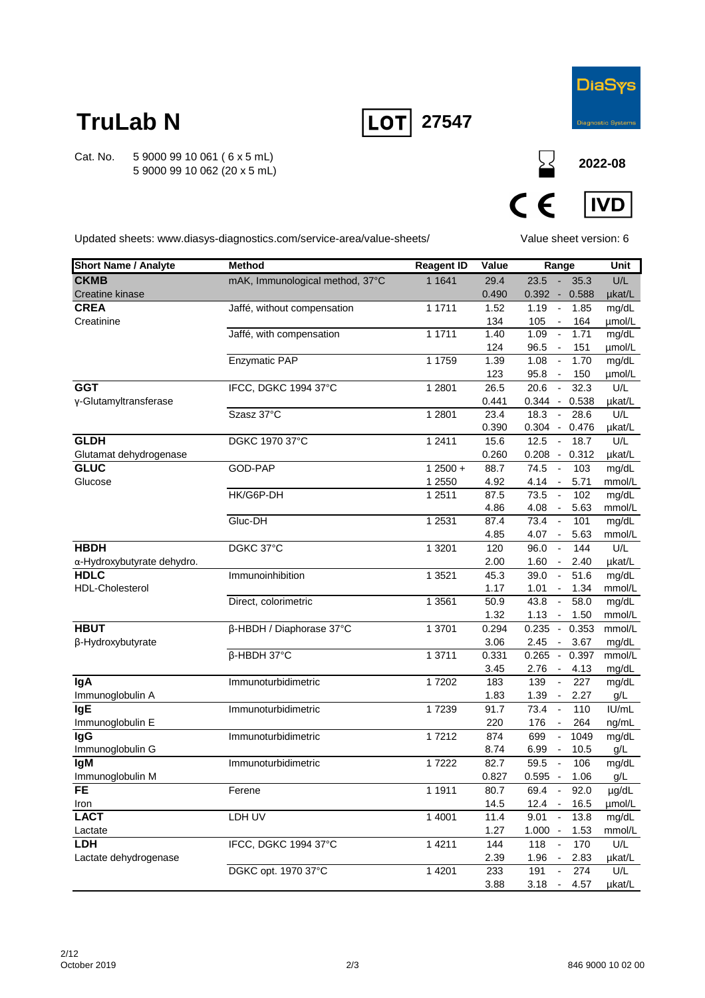



**2022-08**

**DiaSys** 

 $C \in$ **IVD** 

Updated sheets: www.diasys-diagnostics.com/service-area/value-sheets/

Value sheet version: 6

 $\sum$ 

| <b>Short Name / Analyte</b>                       | <b>Method</b>                   | <b>Reagent ID</b> | Value             | Range                                                                |              | Unit            |
|---------------------------------------------------|---------------------------------|-------------------|-------------------|----------------------------------------------------------------------|--------------|-----------------|
| <b>CKMB</b>                                       | mAK, Immunological method, 37°C | 1 1 6 4 1         | 29.4              | $\sim$<br>23.5                                                       | 35.3         | U/L             |
| Creatine kinase                                   |                                 |                   | 0.490             | $0.392 -$                                                            | 0.588        | µkat/L          |
| <b>CREA</b>                                       | Jaffé, without compensation     | 1 1711            | 1.52              | 1.19<br>$\sim$                                                       | 1.85         | mg/dL           |
| Creatinine                                        |                                 |                   | 134               | 105<br>$\blacksquare$                                                | 164          | umol/L          |
|                                                   | Jaffé, with compensation        | 1 1711            | 1.40              | 1.09<br>$\overline{\phantom{a}}$                                     | 1.71         | mg/dL           |
|                                                   |                                 |                   | 124               | 96.5<br>$\sim$                                                       | 151          | µmol/L          |
|                                                   | <b>Enzymatic PAP</b>            | 1 1759            | 1.39              | 1.08<br>$\overline{\phantom{a}}$                                     | 1.70         | mg/dL           |
| <b>GGT</b>                                        | IFCC, DGKC 1994 37°C            | 1 2 8 0 1         | 123<br>26.5       | 95.8<br>$\overline{\phantom{a}}$<br>20.6<br>$\overline{\phantom{a}}$ | 150<br>32.3  | µmol/L<br>U/L   |
| y-Glutamyltransferase                             |                                 |                   | 0.441             | $0.344 -$                                                            | 0.538        | µkat/L          |
|                                                   | Szasz 37°C                      | 1 2 8 0 1         | 23.4              | 18.3<br>$\sim$                                                       | 28.6         | U/L             |
|                                                   |                                 |                   | 0.390             | $0.304 -$                                                            | 0.476        | µkat/L          |
| <b>GLDH</b>                                       | DGKC 1970 37°C                  | 1 2411            | 15.6              | 12.5<br>$\overline{\phantom{a}}$                                     | 18.7         | U/L             |
| Glutamat dehydrogenase                            |                                 |                   | 0.260             | $0.208 -$                                                            | 0.312        | µkat/L          |
| <b>GLUC</b>                                       | GOD-PAP                         | $12500 +$         | 88.7              | 74.5<br>$\overline{\phantom{a}}$                                     | 103          | mg/dL           |
| Glucose                                           |                                 | 1 2550            | 4.92              | 4.14<br>$\overline{\phantom{a}}$                                     | 5.71         | mmol/L          |
|                                                   | HK/G6P-DH                       | 1 2511            | 87.5              | 73.5<br>$\Box$                                                       | 102          | mg/dL           |
|                                                   |                                 |                   | 4.86              | 4.08<br>$\sim$                                                       | 5.63         | mmol/L          |
|                                                   | Gluc-DH                         | 1 2531            | 87.4              | 73.4<br>$\sim$                                                       | 101          | mg/dL           |
|                                                   |                                 |                   | 4.85              | 4.07<br>$\sim$                                                       | 5.63         | mmol/L          |
| <b>HBDH</b>                                       | DGKC 37°C                       | 1 3 2 0 1         | 120               | 96.0<br>$\overline{\phantom{a}}$                                     | 144          | U/L             |
| $\alpha$ -Hydroxybutyrate dehydro.<br><b>HDLC</b> |                                 |                   | 2.00              | 1.60<br>$\overline{\phantom{a}}$                                     | 2.40         | µkat/L          |
| HDL-Cholesterol                                   | Immunoinhibition                | 1 3 5 2 1         | 45.3<br>1.17      | 39.0<br>$\overline{\phantom{a}}$<br>1.01<br>$\overline{\phantom{a}}$ | 51.6<br>1.34 | mg/dL<br>mmol/L |
|                                                   | Direct, colorimetric            | 1 3561            | $50.\overline{9}$ | 43.8<br>$\overline{\phantom{a}}$                                     | 58.0         | mg/dL           |
|                                                   |                                 |                   | 1.32              | 1.13<br>$\overline{\phantom{a}}$                                     | 1.50         | mmol/L          |
| <b>HBUT</b>                                       | β-HBDH / Diaphorase 37°C        | 1 3701            | 0.294             | $0.235 -$                                                            | 0.353        | mmol/L          |
| β-Hydroxybutyrate                                 |                                 |                   | 3.06              | 2.45<br>$\sim$                                                       | 3.67         | mg/dL           |
|                                                   | β-HBDH 37°C                     | 1 3711            | 0.331             | 0.265<br>$\sim$                                                      | 0.397        | mmol/L          |
|                                                   |                                 |                   | 3.45              | 2.76<br>$\sim$                                                       | 4.13         | mg/dL           |
| lgA                                               | Immunoturbidimetric             | 17202             | 183               | 139<br>$\blacksquare$                                                | 227          | mg/dL           |
| Immunoglobulin A                                  |                                 |                   | 1.83              | 1.39<br>$\blacksquare$                                               | 2.27         | g/L             |
| <b>IgE</b>                                        | Immunoturbidimetric             | 17239             | 91.7              | 73.4<br>$\blacksquare$                                               | 110          | IU/mL           |
| Immunoglobulin E                                  |                                 |                   | 220               | 176<br>$\overline{\phantom{a}}$                                      | 264          | ng/mL           |
| <b>IgG</b>                                        | Immunoturbidimetric             | 17212             | 874               | 699<br>$\blacksquare$                                                | 1049         | mg/dL           |
| Immunoglobulin G                                  |                                 |                   | 8.74              | 6.99<br>$\overline{\phantom{a}}$                                     | 10.5         | g/L             |
| <b>IgM</b>                                        | Immunoturbidimetric             | 17222             | 82.7<br>0.827     | 59.5<br>$\overline{\phantom{a}}$                                     | 106          | mg/dL           |
| Immunoglobulin M<br>FE                            |                                 | 1 1911            | 80.7              | $0.595 -$<br>69.4<br>$\Box$                                          | 1.06<br>92.0 | g/L<br>µg/dL    |
| Iron                                              | Ferene                          |                   | 14.5              | 12.4<br>$\sim$                                                       | 16.5         | µmol/L          |
| <b>LACT</b>                                       | LDH UV                          | 1 4001            | 11.4              | 9.01<br>$\overline{\phantom{a}}$                                     | 13.8         | mg/dL           |
| Lactate                                           |                                 |                   | 1.27              | $1.000 -$                                                            | 1.53         | mmol/L          |
| <b>LDH</b>                                        | IFCC, DGKC 1994 37°C            | 1 4 2 1 1         | 144               | 118<br>$\blacksquare$                                                | 170          | U/L             |
| Lactate dehydrogenase                             |                                 |                   | 2.39              | 1.96<br>$\blacksquare$                                               | 2.83         | µkat/L          |
|                                                   | DGKC opt. 1970 37°C             | 1 4 2 0 1         | 233               | 191<br>$\overline{\phantom{a}}$                                      | 274          | U/L             |
|                                                   |                                 |                   | 3.88              | 3.18<br>$\overline{\phantom{a}}$                                     | 4.57         | µkat/L          |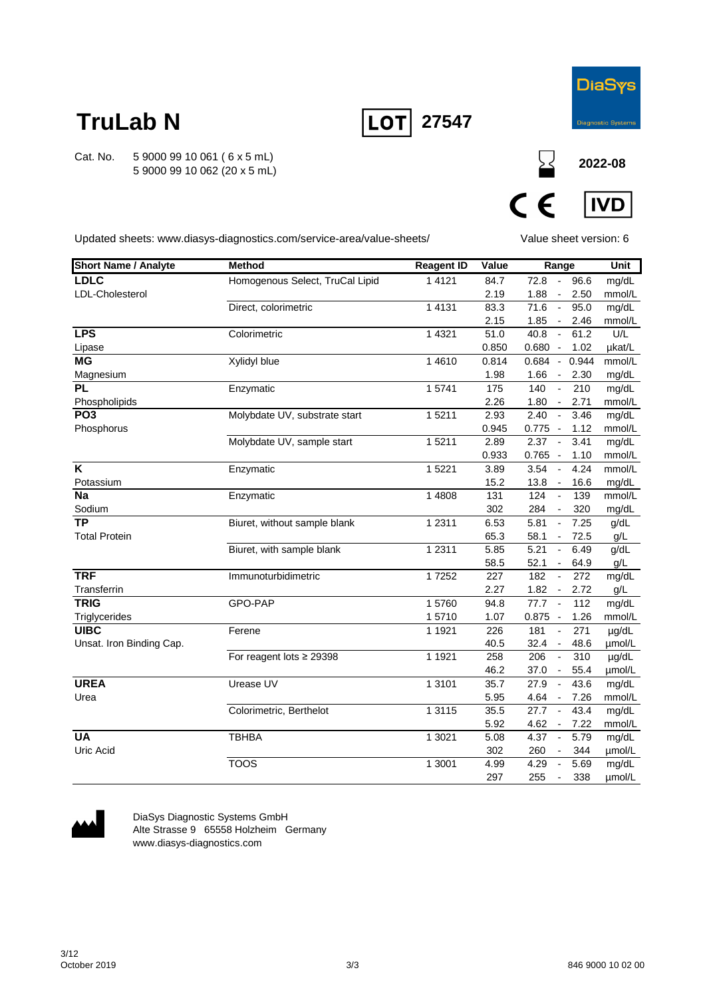

**2022-08**

**IVD** 

# **TruLab N**

Cat. No. 5 9000 99 10 061 ( 6 x 5 mL) 5 9000 99 10 062 (20 x 5 mL)

 $C \in$ 

**27547**

LOT

Updated sheets: www.diasys-diagnostics.com/service-area/value-sheets/

Value sheet version: 6

| <b>Short Name / Analyte</b> | <b>Method</b>                   | <b>Reagent ID</b> | Value | Range                            |       | <b>Unit</b> |
|-----------------------------|---------------------------------|-------------------|-------|----------------------------------|-------|-------------|
| LDLC                        | Homogenous Select, TruCal Lipid | 1 4 1 2 1         | 84.7  | 72.8<br>$\sim$                   | 96.6  | mg/dL       |
| LDL-Cholesterol             |                                 |                   | 2.19  | 1.88<br>$\overline{\phantom{a}}$ | 2.50  | mmol/L      |
|                             | Direct, colorimetric            | 1 4 1 3 1         | 83.3  | 71.6<br>$\sim$                   | 95.0  | mg/dL       |
|                             |                                 |                   | 2.15  | 1.85<br>$\sim$                   | 2.46  | mmol/L      |
| <b>LPS</b>                  | Colorimetric                    | 1 4 3 2 1         | 51.0  | 40.8<br>$\overline{\phantom{a}}$ | 61.2  | U/L         |
| Lipase                      |                                 |                   | 0.850 | $0.680 -$                        | 1.02  | µkat/L      |
| <b>MG</b>                   | Xylidyl blue                    | 1 4 6 1 0         | 0.814 | $0.684 -$                        | 0.944 | mmol/L      |
| Magnesium                   |                                 |                   | 1.98  | 1.66<br>$\sim$                   | 2.30  | mg/dL       |
| <b>PL</b>                   | Enzymatic                       | 15741             | 175   | 140<br>$\blacksquare$            | 210   | mg/dL       |
| Phospholipids               |                                 |                   | 2.26  | 1.80<br>$\sim$                   | 2.71  | mmol/L      |
| PO <sub>3</sub>             | Molybdate UV, substrate start   | 1 5 2 1 1         | 2.93  | 2.40<br>$\sim$                   | 3.46  | mg/dL       |
| Phosphorus                  |                                 |                   | 0.945 | $0.775 -$                        | 1.12  | mmol/L      |
|                             | Molybdate UV, sample start      | 15211             | 2.89  | $\sim$<br>2.37                   | 3.41  | mg/dL       |
|                             |                                 |                   | 0.933 | $0.765 -$                        | 1.10  | mmol/L      |
| $\overline{\mathsf{K}}$     | Enzymatic                       | 1 5221            | 3.89  | 3.54<br>$\blacksquare$           | 4.24  | mmol/L      |
| Potassium                   |                                 |                   | 15.2  | 13.8<br>$\overline{\phantom{a}}$ | 16.6  | mg/dL       |
| <b>Na</b>                   | Enzymatic                       | 1 4808            | 131   | 124<br>$\overline{\phantom{a}}$  | 139   | mmol/L      |
| Sodium                      |                                 |                   | 302   | 284<br>$\overline{\phantom{a}}$  | 320   | mg/dL       |
| <b>TP</b>                   | Biuret, without sample blank    | 1 2 3 1 1         | 6.53  | 5.81<br>$\overline{\phantom{a}}$ | 7.25  | g/dL        |
| <b>Total Protein</b>        |                                 |                   | 65.3  | 58.1<br>$\blacksquare$           | 72.5  | g/L         |
|                             | Biuret, with sample blank       | 1 2 3 1 1         | 5.85  | 5.21<br>$\overline{\phantom{a}}$ | 6.49  | g/dL        |
|                             |                                 |                   | 58.5  | 52.1<br>$\overline{\phantom{a}}$ | 64.9  | g/L         |
| <b>TRF</b>                  | Immunoturbidimetric             | 17252             | 227   | 182<br>$\overline{\phantom{a}}$  | 272   | mg/dL       |
| Transferrin                 |                                 |                   | 2.27  | 1.82<br>$\sim$                   | 2.72  | g/L         |
| <b>TRIG</b>                 | GPO-PAP                         | 15760             | 94.8  | $77.7 -$                         | 112   | mg/dL       |
| Triglycerides               |                                 | 15710             | 1.07  | $0.875 -$                        | 1.26  | mmol/L      |
| <b>UIBC</b>                 | Ferene                          | 1 1921            | 226   | 181<br>$\overline{\phantom{a}}$  | 271   | µg/dL       |
| Unsat. Iron Binding Cap.    |                                 |                   | 40.5  | 32.4<br>$\sim$                   | 48.6  | µmol/L      |
|                             | For reagent lots $\geq$ 29398   | 1 1921            | 258   | 206<br>$\overline{\phantom{a}}$  | 310   | µg/dL       |
|                             |                                 |                   | 46.2  | 37.0<br>$\overline{\phantom{a}}$ | 55.4  | µmol/L      |
| <b>UREA</b>                 | Urease UV                       | 1 3 1 0 1         | 35.7  | 27.9<br>$\sim$                   | 43.6  | mg/dL       |
| Urea                        |                                 |                   | 5.95  | 4.64<br>$\blacksquare$           | 7.26  | mmol/L      |
|                             | Colorimetric, Berthelot         | 1 3 1 1 5         | 35.5  | 27.7<br>$\overline{\phantom{a}}$ | 43.4  | mg/dL       |
|                             |                                 |                   | 5.92  | 4.62<br>$\overline{\phantom{a}}$ | 7.22  | mmol/L      |
| <b>UA</b>                   | <b>TBHBA</b>                    | 1 3021            | 5.08  | 4.37<br>$\overline{\phantom{a}}$ | 5.79  | mg/dL       |
| Uric Acid                   |                                 |                   | 302   | 260<br>$\overline{\phantom{a}}$  | 344   | µmol/L      |
|                             | <b>TOOS</b>                     | 1 3001            | 4.99  | 4.29<br>$\overline{\phantom{a}}$ | 5.69  | mg/dL       |
|                             |                                 |                   | 297   | 255<br>$\overline{\phantom{a}}$  | 338   | µmol/L      |



DiaSys Diagnostic Systems GmbH Alte Strasse 9 65558 Holzheim Germany www.diasys-diagnostics.com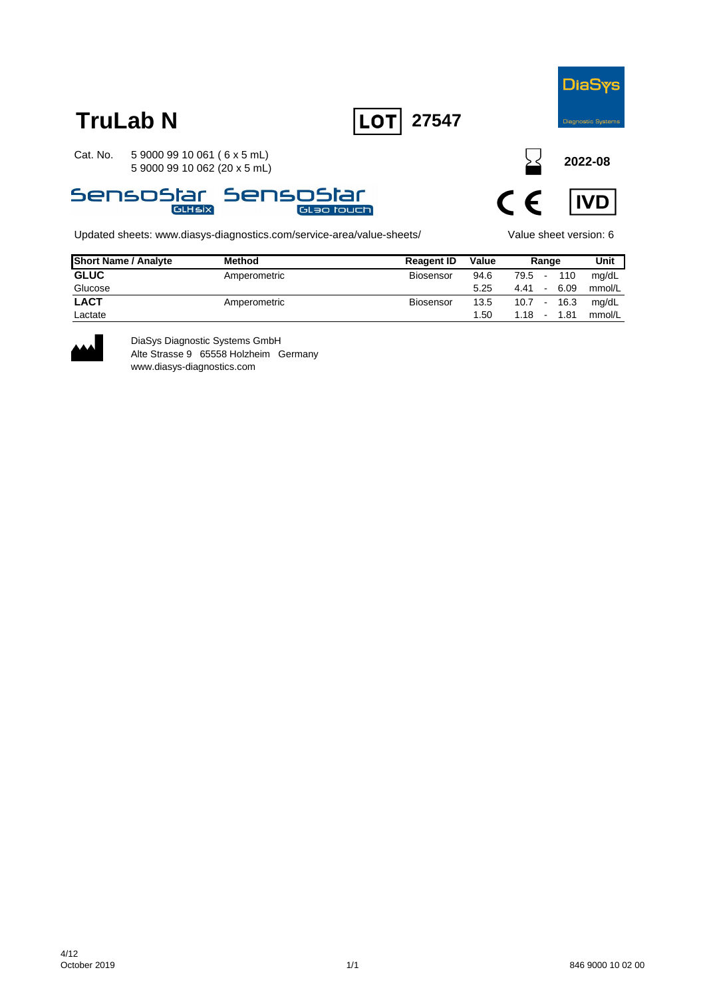

**TruLab N LOT** 27547

Cat. No. 5 9000 99 10 061 ( 6 x 5 mL) 5 9000 99 10 062 (20 x 5 mL)



Updated sheets: www.diasys-diagnostics.com/service-area/value-sheets/ Value sheet version: 6

**2022-08**



| <b>Short Name / Analyte</b> | <b>Method</b> | <b>Reagent ID</b> | Value |               | Range |         | Unit   |
|-----------------------------|---------------|-------------------|-------|---------------|-------|---------|--------|
| <b>GLUC</b>                 | Amperometric  | Biosensor         | 94.6  | 79.5 -        |       | 110     | mg/dL  |
| Glucose                     |               |                   | 5.25  | 4.41          |       | $-6.09$ | mmol/L |
| <b>LACT</b>                 | Amperometric  | Biosensor         | 13.5  | $10.7 - 16.3$ |       |         | mg/dL  |
| Lactate                     |               |                   | 1.50  | $1.18 -$      |       | 1.81    | mmol/L |



DiaSys Diagnostic Systems GmbH Alte Strasse 9 65558 Holzheim Germany www.diasys-diagnostics.com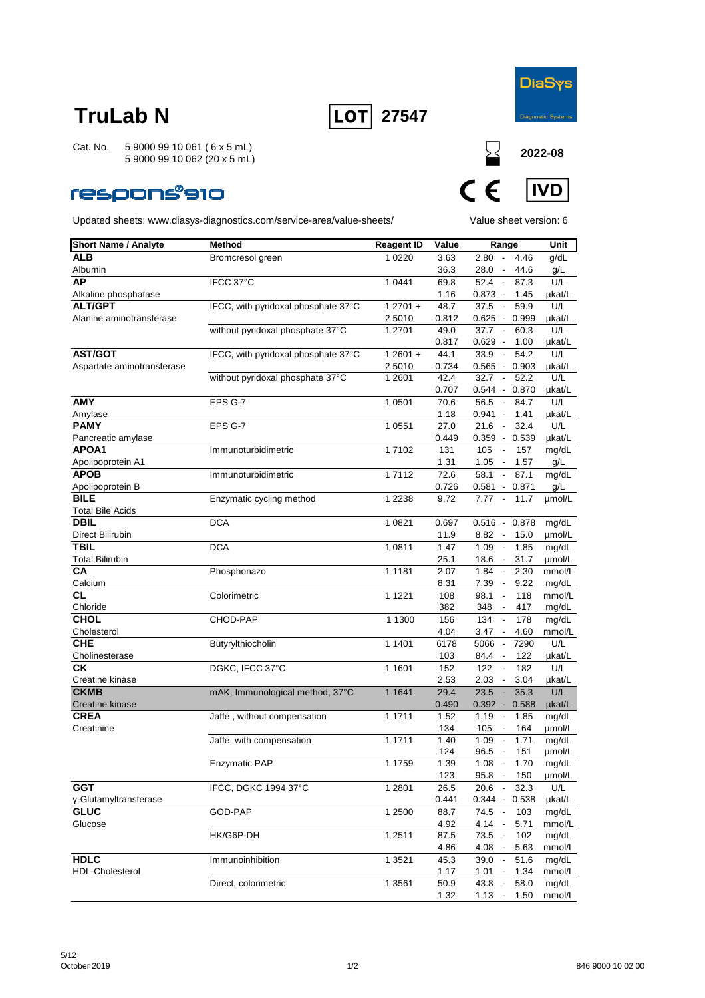



Cat. No. 5 9000 99 10 061 ( 6 x 5 mL) 5 9000 99 10 062 (20 x 5 mL)

### **respons®910**



| <b>Short Name / Analyte</b>          | Method                              | <b>Reagent ID</b> | Value       | Range                                    | Unit            |
|--------------------------------------|-------------------------------------|-------------------|-------------|------------------------------------------|-----------------|
| <b>ALB</b>                           | Bromcresol green                    | 1 0 2 2 0         | 3.63        | 2.80 -<br>4.46                           | g/dL            |
| Albumin                              |                                     |                   | 36.3        | 28.0 - 44.6                              | g/L             |
| AP                                   | IFCC 37°C                           | 1 0 4 4 1         | 69.8        | 52.4 -<br>87.3                           | U/L             |
| Alkaline phosphatase                 |                                     |                   | 1.16        | $0.873 -$<br>1.45                        | µkat/L          |
| <b>ALT/GPT</b>                       | IFCC, with pyridoxal phosphate 37°C | $12701 +$         | 48.7        | 37.5<br>59.9<br>$\sim$                   | U/L             |
| Alanine aminotransferase             |                                     | 2 5010            | 0.812       | 0.625 - 0.999                            | µkat/L          |
|                                      | without pyridoxal phosphate 37°C    | 1 2701            | 49.0        | 37.7<br>$\sim$<br>60.3                   | U/L             |
|                                      |                                     |                   | 0.817       | $0.629 -$<br>1.00                        | µkat/L          |
| <b>AST/GOT</b>                       | IFCC, with pyridoxal phosphate 37°C | $12601 +$         | 44.1        | 33.9<br>54.2<br>$\overline{\phantom{a}}$ | U/L             |
| Aspartate aminotransferase           |                                     | 2 5010            | 0.734       | $0.565 - 0.903$                          | µkat/L          |
|                                      | without pyridoxal phosphate 37°C    | 1 2 6 0 1         | 42.4        | $\sim$<br>52.2<br>32.7                   | U/L             |
|                                      |                                     |                   | 0.707       | $0.544 - 0.870$                          | µkat/L          |
| <b>AMY</b>                           | EPS G-7                             | 1 0 5 0 1         | 70.6        | 56.5<br>84.7<br>$\sim$                   | U/L             |
| Amylase                              |                                     |                   | 1.18        | $0.941 -$<br>1.41                        | µkat/L          |
| <b>PAMY</b>                          | EPS G-7                             | 1 0 5 5 1         | 27.0        | 32.4<br>21.6<br>$\overline{\phantom{a}}$ | U/L             |
| Pancreatic amylase                   |                                     |                   | 0.449       | $0.359 - 0.539$                          | µkat/L          |
| APOA1                                | Immunoturbidimetric                 | 17102             | 131         | 105<br>$\sim$<br>157                     | mg/dL           |
| Apolipoprotein A1                    |                                     |                   | 1.31        | $1.05 -$<br>1.57                         | g/L             |
| <b>APOB</b>                          | Immunoturbidimetric                 | 17112             | 72.6        | 87.1<br>58.1<br>$\overline{\phantom{a}}$ | mg/dL           |
| Apolipoprotein B                     |                                     |                   | 0.726       | $0.581 -$<br>0.871                       | g/L             |
| <b>BILE</b>                          | Enzymatic cycling method            | 1 2 2 3 8         | 9.72        | $\sim$<br>11.7<br>7.77                   | µmol/L          |
| <b>Total Bile Acids</b>              |                                     |                   |             |                                          |                 |
| <b>DBIL</b>                          | <b>DCA</b>                          | 1 0 8 2 1         | 0.697       | $0.516 - 0.878$                          | mg/dL           |
| Direct Bilirubin                     |                                     |                   | 11.9        | $8.82 -$<br>15.0                         | µmol/L          |
| <b>TBIL</b>                          | <b>DCA</b>                          | 1 0811            | 1.47        | 1.09<br>$\overline{\phantom{a}}$<br>1.85 | mg/dL           |
| <b>Total Bilirubin</b>               |                                     |                   | 25.1        | $18.6 -$<br>31.7                         | µmol/L          |
| CA                                   | Phosphonazo                         | 1 1 1 8 1         | 2.07        | 1.84<br>$\sim$<br>2.30                   | mmol/L          |
| Calcium                              |                                     |                   | 8.31        | 9.22<br>7.39 -                           | mg/dL           |
| СL                                   | Colorimetric                        | 1 1 2 2 1         | 108         | 98.1<br>118<br>$\overline{\phantom{a}}$  | mmol/L          |
| Chloride                             |                                     |                   | 382         | 348<br>417                               | mg/dL           |
| <b>CHOL</b>                          | CHOD-PAP                            | 1 1300            | 156         | 134<br>$\blacksquare$<br>178             | mg/dL           |
| Cholesterol                          |                                     |                   | 4.04        | $3.47 -$<br>4.60                         | mmol/L          |
| <b>CHE</b>                           | Butyrylthiocholin                   | 1 1401            | 6178        | 7290<br>5066<br>$\sim$                   | U/L             |
| Cholinesterase                       |                                     |                   | 103         | 84.4<br>122<br>$\sim$                    | µkat/L          |
| СK                                   | DGKC, IFCC 37°C                     | 1 1 6 0 1         | 152         | 122<br>182<br>$\overline{\phantom{a}}$   | U/L             |
| Creatine kinase                      |                                     |                   | 2.53        | 2.03<br>3.04<br>$\overline{\phantom{a}}$ | µkat/L          |
| <b>CKMB</b>                          | mAK, Immunological method, 37°C     | 1 1 6 4 1         | 29.4        | 35.3<br>23.5<br>$\sim$                   | U/L             |
| Creatine kinase                      |                                     |                   | 0.490       | $0.392 - 0.588$                          | µkat/L          |
| <b>CREA</b>                          |                                     | 1 1 7 1 1         | 1.52        | 1.19<br>1.85<br>$\overline{\phantom{a}}$ |                 |
| Creatinine                           | Jaffé, without compensation         |                   | 134         | 164                                      | mg/dL           |
|                                      |                                     | 1 1711            | 1.40        | 105<br>1.09<br>$\sim$<br>1.71            | µmol/L          |
|                                      | Jaffé, with compensation            |                   |             |                                          | mg/dL           |
|                                      | Enzymatic PAP                       | 1 1759            | 124<br>1.39 | 96.5<br>151<br>$\sim$<br>1.08<br>1.70    | µmol/L<br>mg/dL |
|                                      |                                     |                   |             |                                          |                 |
| <b>GGT</b>                           | IFCC, DGKC 1994 37°C                | 1 2 8 0 1         | 123<br>26.5 | 95.8 - 150<br>32.3                       | µmol/L          |
|                                      |                                     |                   | 0.441       | 20.6<br>$\overline{\phantom{a}}$         | U/L             |
| γ-Glutamyltransferase<br><b>GLUC</b> |                                     |                   |             | $0.344 - 0.538$                          | µkat/L          |
|                                      | GOD-PAP                             | 1 2500            | 88.7        | $\sim$<br>74.5<br>103                    | mg/dL           |
| Glucose                              |                                     | 1 2 5 1 1         | 4.92        | $4.14 -$<br>5.71                         | mmol/L          |
|                                      | HK/G6P-DH                           |                   | 87.5        | 73.5<br>$\blacksquare$<br>102            | mg/dL           |
|                                      |                                     |                   | 4.86        | 4.08<br>5.63<br>$\sim$                   | mmol/L          |
| <b>HDLC</b>                          | Immunoinhibition                    | 1 3 5 2 1         | 45.3        | 51.6<br>39.0<br>$\sim$                   | mg/dL           |
| HDL-Cholesterol                      |                                     |                   | 1.17        | 1.01<br>1.34<br>$\sim$                   | mmol/L          |
|                                      | Direct, colorimetric                | 1 3 5 6 1         | 50.9        | 43.8<br>$\sim$<br>58.0                   | mg/dL           |
|                                      |                                     |                   | 1.32        | $1.13 - 1.50$                            | mmol/L          |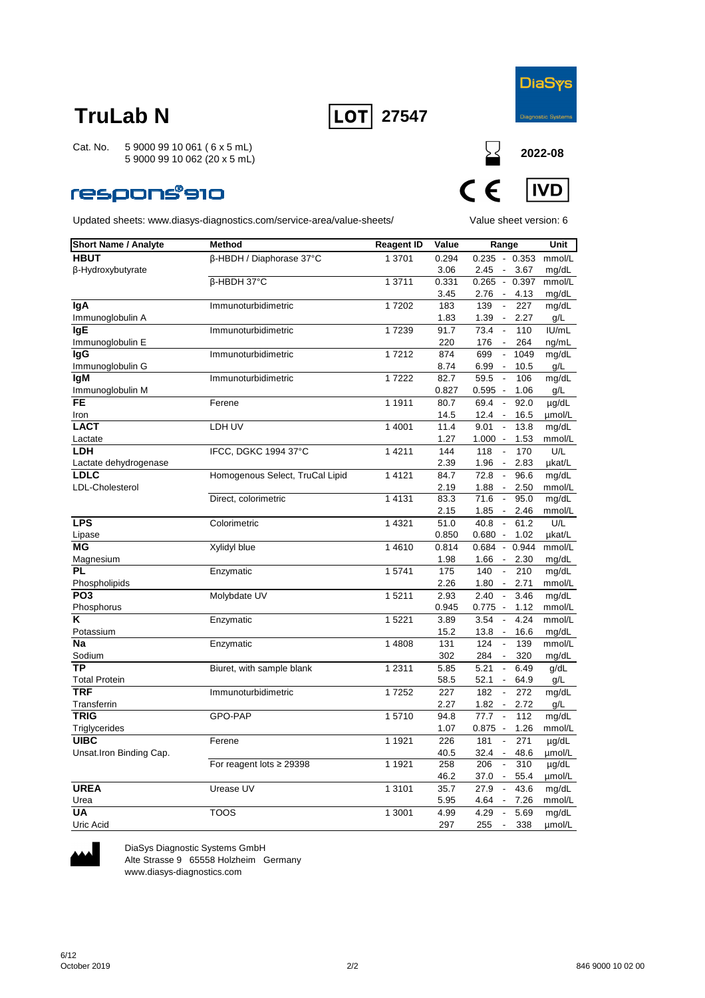



**2022-08**

**IVD** 

 $\epsilon$ 

Cat. No. 5 9000 99 10 061 ( 6 x 5 mL) 5 9000 99 10 062 (20 x 5 mL)

### **respons®910**

Updated sheets: www.diasys-diagnostics.com/service-area/value-sheets/ Value sheet version: 6

| <b>Short Name / Analyte</b> | <b>Method</b>                   | <b>Reagent ID</b> | Value | Range                            |       | Unit       |
|-----------------------------|---------------------------------|-------------------|-------|----------------------------------|-------|------------|
| <b>HBUT</b>                 |                                 |                   | 0.294 | $0.235 - 0.353$                  |       | mmol/L     |
| β-Hydroxybutyrate           | β-HBDH / Diaphorase 37°C        | 1 3701            | 3.06  | 2.45 - 3.67                      |       | mg/dL      |
|                             | β-HBDH 37°C                     | 1 3711            | 0.331 | $0.265 -$                        | 0.397 | mmol/L     |
|                             |                                 |                   | 3.45  | 2.76 -                           | 4.13  | mg/dL      |
| lgA                         | Immunoturbidimetric             | 17202             | 183   | 139<br>$\overline{\phantom{a}}$  | 227   | mg/dL      |
| Immunoglobulin A            |                                 |                   | 1.83  | $1.39 -$                         | 2.27  | g/L        |
| lgE                         | Immunoturbidimetric             | 17239             | 91.7  | 73.4                             | 110   | IUI/mL     |
| Immunoglobulin E            |                                 |                   | 220   | 176<br>$\sim$                    | 264   | ng/mL      |
| lgG                         | Immunoturbidimetric             | 17212             | 874   | 699<br>$\blacksquare$            | 1049  | mg/dL      |
| Immunoglobulin G            |                                 |                   | 8.74  | 6.99 -                           | 10.5  | g/L        |
| <b>IgM</b>                  | Immunoturbidimetric             | 17222             | 82.7  | 59.5                             | 106   | mg/dL      |
| Immunoglobulin M            |                                 |                   | 0.827 | $0.595 -$                        | 1.06  | q/L        |
| FE                          | Ferene                          | 1 1911            | 80.7  | 69.4<br>$\sim$                   | 92.0  | µg/dL      |
| Iron                        |                                 |                   | 14.5  | $12.4 -$                         | 16.5  | µmol/L     |
| <b>LACT</b>                 | LDH UV                          | 1 4001            | 11.4  | 9.01                             | 13.8  | mg/dL      |
| Lactate                     |                                 |                   | 1.27  | $1.000 -$                        | 1.53  | mmol/L     |
| <b>LDH</b>                  | IFCC, DGKC 1994 37°C            | 1 4 2 1 1         | 144   | 118<br>$\overline{\phantom{a}}$  | 170   | U/L        |
| Lactate dehydrogenase       |                                 |                   | 2.39  | $1.96 -$                         | 2.83  | µkat/L     |
| <b>LDLC</b>                 | Homogenous Select, TruCal Lipid | 14121             | 84.7  | 72.8<br>$\overline{\phantom{a}}$ | 96.6  | mg/dL      |
| LDL-Cholesterol             |                                 |                   | 2.19  | $1.88 -$                         | 2.50  | mmol/L     |
|                             | Direct, colorimetric            | 1 4 1 3 1         | 83.3  | 71.6<br>$\overline{\phantom{a}}$ | 95.0  | mg/dL      |
|                             |                                 |                   | 2.15  | $1.85 -$                         | 2.46  | mmol/L     |
| <b>LPS</b>                  | Colorimetric                    | 1 4 3 2 1         | 51.0  | 40.8<br>$\sim$                   | 61.2  | U/L        |
| Lipase                      |                                 |                   | 0.850 | $0.680 -$                        | 1.02  | µkat/L     |
| ΜG                          | Xylidyl blue                    | 14610             | 0.814 | $0.684 -$                        | 0.944 | mmol/L     |
| Magnesium                   |                                 |                   | 1.98  | $1.66 -$                         | 2.30  | mg/dL      |
| PL                          | Enzymatic                       | 15741             | 175   | 140                              | 210   | mg/dL      |
| Phospholipids               |                                 |                   | 2.26  | $1.80 -$                         | 2.71  | mmol/L     |
| PO <sub>3</sub>             | Molybdate UV                    | 15211             | 2.93  | 2.40<br>$\overline{\phantom{a}}$ | 3.46  | mg/dL      |
| Phosphorus                  |                                 |                   | 0.945 | $0.775 -$                        | 1.12  | mmol/L     |
| Κ                           | Enzymatic                       | 15221             | 3.89  | 3.54                             | 4.24  | mmol/L     |
| Potassium                   |                                 |                   | 15.2  | $13.8 -$                         | 16.6  | mg/dL      |
| Na                          | Enzymatic                       | 1 4808            | 131   | 124<br>$\overline{\phantom{a}}$  | 139   | mmol/L     |
| Sodium                      |                                 |                   | 302   | $\overline{\phantom{a}}$<br>284  | 320   | mg/dL      |
| ТP                          | Biuret, with sample blank       | 1 2311            | 5.85  | 5.21<br>$\overline{\phantom{a}}$ | 6.49  | g/dL       |
| <b>Total Protein</b>        |                                 |                   | 58.5  | 52.1 -                           | 64.9  | g/L        |
| <b>TRF</b>                  | Immunoturbidimetric             | 17252             | 227   | 182<br>$\overline{\phantom{a}}$  | 272   | mg/dL      |
| Transferrin                 |                                 |                   | 2.27  | $1.82 -$                         | 2.72  | g/L        |
| <b>TRIG</b>                 | GPO-PAP                         | 15710             | 94.8  | 77.7<br>$\sim$                   | 112   | mg/dL      |
| Triglycerides               |                                 |                   | 1.07  | $0.875 -$                        | 1.26  | mmol/L     |
| <b>UIBC</b>                 | Ferene                          | 1 1921            | 226   | 181<br>$\overline{\phantom{a}}$  | 271   | $\mu$ g/dL |
| Unsat.Iron Binding Cap.     |                                 |                   | 40.5  | $32.4 -$                         | 48.6  | umol/L     |
|                             | For reagent lots $\geq$ 29398   | 1 1921            | 258   | 206                              | 310   | $\mu$ g/dL |
|                             |                                 |                   | 46.2  | 37.0 -                           | 55.4  | umol/L     |
| <b>UREA</b>                 | Urease UV                       | 1 3101            | 35.7  | 27.9<br>$\overline{\phantom{a}}$ | 43.6  | mg/dL      |
| Urea                        |                                 |                   | 5.95  | 4.64 -                           | 7.26  | mmol/L     |
| UA                          | <b>TOOS</b>                     | 1 3001            | 4.99  | 4.29<br>$\sim$                   | 5.69  | mg/dL      |
| Uric Acid                   |                                 |                   | 297   | 255<br>$\overline{\phantom{a}}$  | 338   | umol/L     |



DiaSys Diagnostic Systems GmbH Alte Strasse 9 65558 Holzheim Germany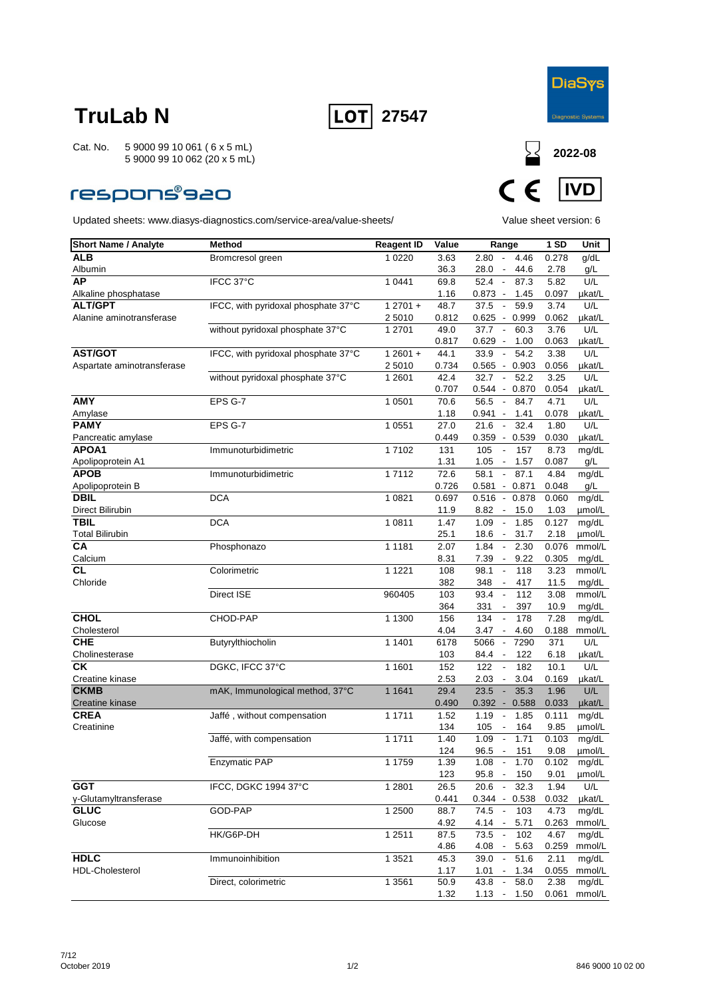



### **respons®s20**



| <b>Short Name / Analyte</b> | Method                              | <b>Reagent ID</b> | Value | Range                                    | 1SD   | Unit   |
|-----------------------------|-------------------------------------|-------------------|-------|------------------------------------------|-------|--------|
| <b>ALB</b>                  | Bromcresol green                    | 1 0 2 2 0         | 3.63  | 2.80<br>4.46<br>$\overline{\phantom{a}}$ | 0.278 | g/dL   |
| Albumin                     |                                     |                   | 36.3  | 28.0<br>44.6<br>$\overline{\phantom{a}}$ | 2.78  | g/L    |
| AP                          | IFCC 37°C                           | 1 0441            | 69.8  | 52.4<br>$\blacksquare$<br>87.3           | 5.82  | U/L    |
| Alkaline phosphatase        |                                     |                   | 1.16  | $0.873 -$<br>1.45                        | 0.097 | µkat/L |
| <b>ALT/GPT</b>              | IFCC, with pyridoxal phosphate 37°C | $12701 +$         | 48.7  | 37.5<br>59.9<br>$\overline{\phantom{a}}$ | 3.74  | U/L    |
| Alanine aminotransferase    |                                     | 2 5010            | 0.812 | 0.625<br>$-0.999$                        | 0.062 | µkat/L |
|                             | without pyridoxal phosphate 37°C    | 1 2701            | 49.0  | 37.7<br>60.3<br>$\sim$                   | 3.76  | U/L    |
|                             |                                     |                   | 0.817 | $0.629 -$<br>1.00                        | 0.063 | µkat/L |
| <b>AST/GOT</b>              | IFCC, with pyridoxal phosphate 37°C | $12601 +$         | 44.1  | 54.2<br>33.9<br>$\overline{\phantom{a}}$ | 3.38  | U/L    |
| Aspartate aminotransferase  |                                     | 2 5010            | 0.734 | $-0.903$<br>0.565                        | 0.056 | µkat/L |
|                             | without pyridoxal phosphate 37°C    | 1 2601            | 42.4  | 32.7<br>52.2<br>$\blacksquare$           | 3.25  | U/L    |
|                             |                                     |                   | 0.707 | $0.544 - 0.870$                          | 0.054 | µkat/L |
| <b>AMY</b>                  | EPS G-7                             | 1 0 5 0 1         | 70.6  | 56.5<br>$\sim$<br>84.7                   | 4.71  | U/L    |
| Amylase                     |                                     |                   | 1.18  | 0.941 -<br>1.41                          | 0.078 | µkat/L |
| <b>PAMY</b>                 | EPS G-7                             | 1 0551            | 27.0  | 21.6<br>32.4<br>$\overline{\phantom{a}}$ | 1.80  | U/L    |
| Pancreatic amylase          |                                     |                   | 0.449 | $0.359 - 0.539$                          | 0.030 | µkat/L |
| APOA1                       | Immunoturbidimetric                 | 17102             | 131   | 105<br>157<br>$\blacksquare$             | 8.73  | mg/dL  |
| Apolipoprotein A1           |                                     |                   | 1.31  | 1.05<br>1.57<br>$\overline{\phantom{a}}$ | 0.087 | g/L    |
| <b>APOB</b>                 | Immunoturbidimetric                 | 17112             | 72.6  | 87.1<br>58.1<br>$\overline{\phantom{a}}$ | 4.84  | mg/dL  |
| Apolipoprotein B            |                                     |                   | 0.726 | 0.581<br>$-0.871$                        | 0.048 | g/L    |
| <b>DBIL</b>                 | <b>DCA</b>                          | 1 0821            | 0.697 | $0.516 - 0.878$                          | 0.060 | mg/dL  |
| Direct Bilirubin            |                                     |                   | 11.9  | 8.82<br>15.0<br>$\overline{\phantom{a}}$ | 1.03  | µmol/L |
| <b>TBIL</b>                 | <b>DCA</b>                          | 1 0811            | 1.47  | $\mathbb{L}$<br>1.09<br>1.85             | 0.127 | mg/dL  |
| <b>Total Bilirubin</b>      |                                     |                   | 25.1  | 31.7<br>18.6<br>$\overline{\phantom{a}}$ | 2.18  | umol/L |
| CA                          | Phosphonazo                         | 1 1 1 8 1         | 2.07  | 1.84<br>2.30<br>$\overline{\phantom{a}}$ | 0.076 | mmol/L |
| Calcium                     |                                     |                   | 8.31  | 7.39<br>9.22<br>$\overline{\phantom{a}}$ | 0.305 | mg/dL  |
| CL                          | Colorimetric                        | 1 1 2 2 1         | 108   | 98.1<br>118                              | 3.23  | mmol/L |
| Chloride                    |                                     |                   | 382   | 348<br>417<br>$\overline{\phantom{a}}$   | 11.5  | mg/dL  |
|                             | Direct ISE                          | 960405            | 103   | 93.4<br>112<br>$\overline{\phantom{a}}$  | 3.08  | mmol/L |
|                             |                                     |                   | 364   | 331<br>397<br>$\overline{\phantom{a}}$   | 10.9  | mg/dL  |
| <b>CHOL</b>                 | CHOD-PAP                            | 1 1300            | 156   | 134<br>178<br>$\overline{\phantom{a}}$   | 7.28  | mg/dL  |
| Cholesterol                 |                                     |                   | 4.04  | 3.47<br>4.60<br>$\overline{\phantom{a}}$ | 0.188 | mmol/L |
| <b>CHE</b>                  | Butyrylthiocholin                   | 1 1401            | 6178  | 5066<br>$\overline{\phantom{a}}$<br>7290 | 371   | U/L    |
| Cholinesterase              |                                     |                   | 103   | 122<br>84.4 -                            | 6.18  | µkat/L |
| <b>CK</b>                   | DGKC, IFCC 37°C                     | 1 1601            | 152   | 122<br>182<br>$\overline{\phantom{a}}$   | 10.1  | U/L    |
| Creatine kinase             |                                     |                   | 2.53  | 2.03<br>3.04<br>$\blacksquare$           | 0.169 | µkat/L |
| <b>CKMB</b>                 | mAK, Immunological method, 37°C     | 1 1 6 4 1         | 29.4  | 23.5<br>35.3                             | 1.96  | U/L    |
| Creatine kinase             |                                     |                   | 0.490 | $0.392 - 0.588$                          | 0.033 | µkat/L |
| <b>CREA</b>                 | Jaffé, without compensation         | 1 1711            | 1.52  | 1.19<br>1.85<br>$\overline{\phantom{a}}$ | 0.111 | mg/dL  |
| Creatinine                  |                                     |                   | 134   | 105<br>$\overline{\phantom{a}}$<br>164   | 9.85  | umol/L |
|                             | Jaffé, with compensation            | 1 1711            | 1.40  | 1.71<br>1.09<br>$\overline{\phantom{a}}$ | 0.103 | mg/dL  |
|                             |                                     |                   | 124   | 96.5<br>151<br>$\overline{\phantom{a}}$  | 9.08  | umol/L |
|                             | Enzymatic PAP                       | 1 1759            | 1.39  | 1.08<br>1.70                             | 0.102 | mg/dL  |
|                             |                                     |                   | 123   | 95.8 - 150                               | 9.01  | µmol/L |
| $\overline{GGT}$            | IFCC, DGKC 1994 37°C                | 1 2 8 0 1         | 26.5  | 32.3<br>20.6<br>$\sim$                   | 1.94  | U/L    |
| y-Glutamyltransferase       |                                     |                   | 0.441 | $0.344 - 0.538$                          | 0.032 | µkat/L |
| <b>GLUC</b>                 | GOD-PAP                             | 1 2500            | 88.7  | 74.5<br>$\sim$<br>103                    | 4.73  | mg/dL  |
| Glucose                     |                                     |                   | 4.92  | 4.14<br>5.71                             | 0.263 | mmol/L |
|                             | HK/G6P-DH                           | 1 2511            | 87.5  | 73.5<br>$\overline{\phantom{a}}$<br>102  | 4.67  | mg/dL  |
|                             |                                     |                   | 4.86  | 4.08<br>5.63<br>$\sim$                   | 0.259 | mmol/L |
| <b>HDLC</b>                 | Immunoinhibition                    | 1 3 5 2 1         | 45.3  | 51.6<br>39.0<br>$\overline{\phantom{a}}$ | 2.11  | mg/dL  |
| <b>HDL-Cholesterol</b>      |                                     |                   | 1.17  | 1.01<br>1.34<br>$\overline{\phantom{a}}$ | 0.055 | mmol/L |
|                             | Direct, colorimetric                | 1 3 5 6 1         | 50.9  | 43.8<br>58.0<br>$\overline{\phantom{a}}$ | 2.38  | mg/dL  |
|                             |                                     |                   | 1.32  | 1.13<br>1.50<br>$\overline{\phantom{a}}$ | 0.061 | mmol/L |
|                             |                                     |                   |       |                                          |       |        |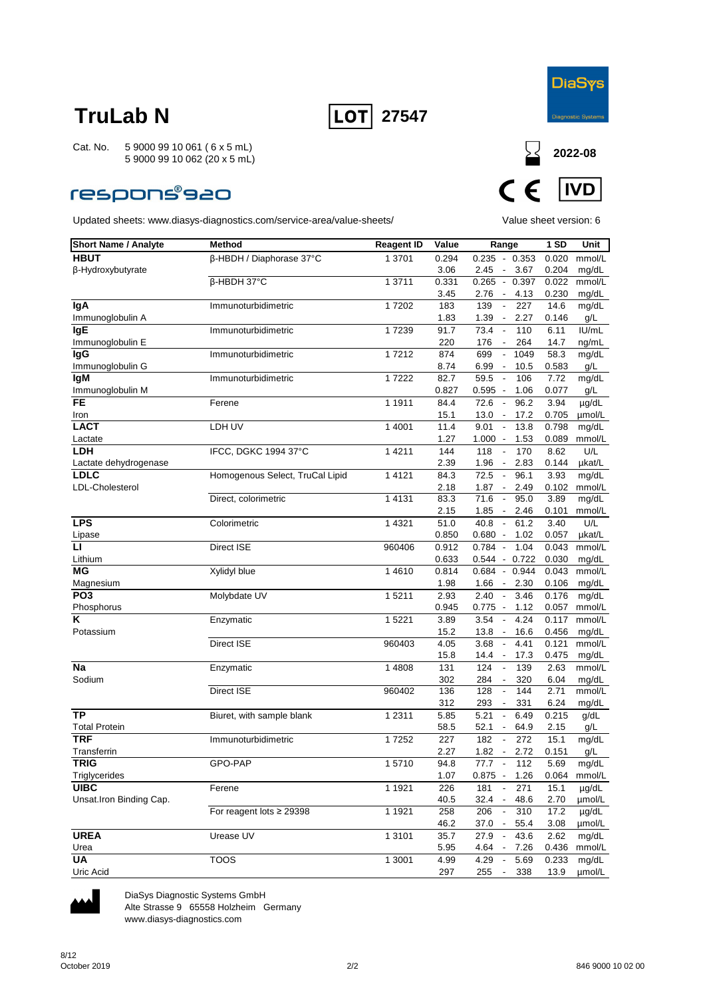



### **respons®s20**

Updated sheets: www.diasys-diagnostics.com/service-area/value-sheets/ Value sheet version: 6



| <b>Short Name / Analyte</b> | <b>Method</b>                   | <b>Reagent ID</b> | Value | Range                                      | 1 SD  | Unit       |
|-----------------------------|---------------------------------|-------------------|-------|--------------------------------------------|-------|------------|
| <b>HBUT</b>                 | β-HBDH / Diaphorase 37°C        | 1 3701            | 0.294 | $0.235 - 0.353$                            | 0.020 | mmol/L     |
| β-Hydroxybutyrate           |                                 |                   | 3.06  | 3.67<br>2.45<br>$\overline{\phantom{a}}$   | 0.204 | mg/dL      |
|                             | β-HBDH 37°C                     | 1 3711            | 0.331 | $0.265 - 0.397$                            | 0.022 | mmol/L     |
|                             |                                 |                   | 3.45  | 4.13<br>2.76<br>$\sim$                     | 0.230 | mg/dL      |
| lgA                         | Immunoturbidimetric             | 17202             | 183   | 139<br>227<br>$\overline{\phantom{a}}$     | 14.6  | mg/dL      |
| Immunoglobulin A            |                                 |                   | 1.83  | 1.39<br>2.27<br>$\overline{\phantom{a}}$   | 0.146 | g/L        |
| <b>IgE</b>                  | Immunoturbidimetric             | 17239             | 91.7  | 73.4<br>110<br>$\overline{\phantom{a}}$    | 6.11  | IU/mL      |
| Immunoglobulin E            |                                 |                   | 220   | 176<br>264<br>$\overline{\phantom{a}}$     | 14.7  | ng/mL      |
| lgG                         | Immunoturbidimetric             | 17212             | 874   | 699<br>1049<br>$\overline{\phantom{a}}$    | 58.3  | mg/dL      |
| Immunoglobulin G            |                                 |                   | 8.74  | 6.99<br>10.5<br>$\overline{\phantom{a}}$   | 0.583 | g/L        |
| lgM                         | Immunoturbidimetric             | 17222             | 82.7  | 59.5<br>106<br>$\overline{\phantom{a}}$    | 7.72  | mg/dL      |
| Immunoglobulin M            |                                 |                   | 0.827 | 0.595<br>1.06<br>$\overline{\phantom{a}}$  | 0.077 | g/L        |
| <b>FE</b>                   | Ferene                          | 1 1911            | 84.4  | 72.6<br>$\overline{\phantom{a}}$<br>96.2   | 3.94  | µg/dL      |
| Iron                        |                                 |                   | 15.1  | $13.0 -$<br>17.2                           | 0.705 | umol/L     |
| <b>LACT</b>                 | LDH UV                          | 1 4001            | 11.4  | 9.01<br>13.8<br>$\overline{\phantom{a}}$   | 0.798 | mg/dL      |
| Lactate                     |                                 |                   | 1.27  | 1.000<br>1.53<br>$\overline{\phantom{a}}$  | 0.089 | mmol/L     |
| LDH                         | IFCC, DGKC 1994 37°C            | 1 4 2 1 1         | 144   | 118<br>170<br>$\overline{\phantom{a}}$     | 8.62  | U/L        |
| Lactate dehydrogenase       |                                 |                   | 2.39  | 1.96<br>2.83<br>$\overline{\phantom{a}}$   | 0.144 | µkat/L     |
| <b>LDLC</b>                 | Homogenous Select, TruCal Lipid | 1 4 1 2 1         | 84.3  | 72.5<br>96.1<br>$\overline{\phantom{a}}$   | 3.93  | mg/dL      |
| <b>LDL-Cholesterol</b>      |                                 |                   | 2.18  | 1.87<br>$\sim$<br>2.49                     | 0.102 | mmol/L     |
|                             | Direct, colorimetric            | 1 4 1 3 1         | 83.3  | 95.0<br>71.6<br>$\overline{\phantom{a}}$   | 3.89  | mg/dL      |
|                             |                                 |                   | 2.15  | 1.85<br>2.46<br>$\overline{\phantom{a}}$   | 0.101 | mmol/L     |
| <b>LPS</b>                  | Colorimetric                    | 1 4 3 2 1         | 51.0  | 40.8<br>$\blacksquare$<br>61.2             | 3.40  | U/L        |
| Lipase                      |                                 |                   | 0.850 | $0.680 -$<br>1.02                          | 0.057 | µkat/L     |
| п                           | Direct ISE                      | 960406            | 0.912 | 0.784<br>1.04<br>$\overline{\phantom{a}}$  | 0.043 | mmol/L     |
| Lithium                     |                                 |                   | 0.633 | $0.544 - 0.722$                            | 0.030 | mg/dL      |
| ΜG                          | Xylidyl blue                    | 1 4 6 1 0         | 0.814 | 0.684<br>0.944<br>$\overline{\phantom{a}}$ | 0.043 | mmol/L     |
| Magnesium                   |                                 |                   | 1.98  | 1.66<br>2.30<br>$\overline{\phantom{a}}$   | 0.106 | mg/dL      |
| PO <sub>3</sub>             | Molybdate UV                    | 1 5211            | 2.93  | 2.40<br>$\overline{\phantom{a}}$<br>3.46   | 0.176 | mg/dL      |
| Phosphorus                  |                                 |                   | 0.945 | $0.775 -$<br>1.12                          | 0.057 | mmol/L     |
| Κ                           | Enzymatic                       | 1 5221            | 3.89  | 3.54<br>4.24<br>$\overline{\phantom{a}}$   | 0.117 | mmol/L     |
| Potassium                   |                                 |                   | 15.2  | 13.8<br>16.6<br>$\overline{\phantom{a}}$   | 0.456 | mg/dL      |
|                             | Direct ISE                      | 960403            | 4.05  | 3.68<br>4.41<br>$\blacksquare$             | 0.121 | mmol/L     |
|                             |                                 |                   | 15.8  | 14.4<br>17.3<br>$\sim$                     | 0.475 | mg/dL      |
| <b>Na</b>                   | Enzymatic                       | 1 4808            | 131   | 124<br>139<br>$\overline{\phantom{a}}$     | 2.63  | mmol/L     |
| Sodium                      |                                 |                   | 302   | 284<br>320<br>$\overline{\phantom{a}}$     | 6.04  | mg/dL      |
|                             | Direct ISE                      | 960402            | 136   | 128<br>144<br>$\overline{\phantom{a}}$     | 2.71  | mmol/L     |
|                             |                                 |                   | 312   | 293<br>331                                 | 6.24  | mg/dL      |
| <b>TP</b>                   | Biuret, with sample blank       | 1 2 3 1 1         | 5.85  | 5.21<br>6.49<br>$\overline{\phantom{a}}$   | 0.215 | g/dL       |
| <b>Total Protein</b>        |                                 |                   | 58.5  | 52.1<br>64.9<br>$\overline{\phantom{a}}$   | 2.15  | g/L        |
| <b>TRF</b>                  | Immunoturbidimetric             | 17252             | 227   | 182<br>272<br>$\overline{\phantom{a}}$     | 15.1  | mg/dL      |
| Transferrin                 |                                 |                   | 2.27  | 1.82<br>2.72<br>$\sim$                     | 0.151 | g/L        |
| <b>TRIG</b>                 | GPO-PAP                         | 15710             | 94.8  | 77.7<br>112                                | 5.69  | mg/dL      |
| Triglycerides               |                                 |                   | 1.07  | $0.875 - 1.26$                             | 0.064 | mmol/L     |
| <b>UIBC</b>                 | Ferene                          | 1 1 9 2 1         | 226   | 181<br>271                                 | 15.1  | $\mu$ g/dL |
| Unsat.Iron Binding Cap.     |                                 |                   | 40.5  | $32.4 -$<br>48.6                           | 2.70  | µmol/L     |
|                             | For reagent lots ≥ 29398        | 1 1921            | 258   | 206<br>310<br>$\overline{\phantom{a}}$     | 17.2  | µg/dL      |
|                             |                                 |                   | 46.2  | 37.0<br>55.4<br>$\overline{\phantom{a}}$   | 3.08  | µmol/L     |
| <b>UREA</b>                 | Urease UV                       | 1 3101            | 35.7  | 27.9<br>$\overline{\phantom{a}}$<br>43.6   | 2.62  | mg/dL      |
| Urea                        |                                 |                   | 5.95  | $4.64 -$<br>7.26                           | 0.436 | mmol/L     |
| UA                          | <b>TOOS</b>                     | 1 3001            | 4.99  | 4.29<br>5.69<br>$\sim$                     | 0.233 | mg/dL      |
| Uric Acid                   |                                 |                   | 297   | 255<br>338<br>$\overline{\phantom{a}}$     | 13.9  | µmol/L     |



DiaSys Diagnostic Systems GmbH Alte Strasse 9 65558 Holzheim Germany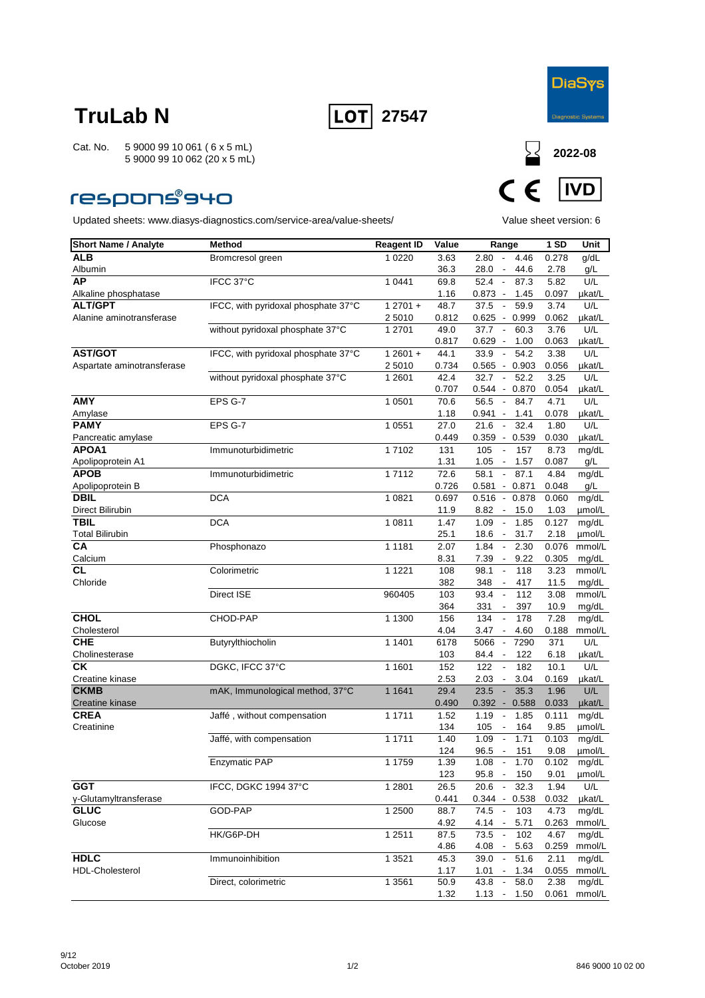



### **respons®940**



| <b>Short Name / Analyte</b>         | <b>Method</b>                       | <b>Reagent ID</b> | Value         | Range                                                                              | 1SD           | Unit            |
|-------------------------------------|-------------------------------------|-------------------|---------------|------------------------------------------------------------------------------------|---------------|-----------------|
| ALB                                 | Bromcresol green                    | 1 0 2 2 0         | 3.63          | $2.80 -$<br>4.46                                                                   | 0.278         | g/dL            |
| Albumin                             |                                     |                   | 36.3          | 28.0<br>44.6<br>$\overline{\phantom{a}}$                                           | 2.78          | g/L             |
| <b>AP</b>                           | IFCC 37°C                           | 1 0 4 4 1         | 69.8          | 87.3<br>52.4<br>$\sim$                                                             | 5.82          | U/L             |
| Alkaline phosphatase                |                                     |                   | 1.16          | $0.873 -$<br>1.45                                                                  | 0.097         | µkat/L          |
| <b>ALT/GPT</b>                      | IFCC, with pyridoxal phosphate 37°C | $12701 +$         | 48.7          | 37.5<br>59.9<br>$\overline{\phantom{a}}$                                           | 3.74          | U/L             |
| Alanine aminotransferase            |                                     | 2 5010            | 0.812         | 0.625<br>$-0.999$                                                                  | 0.062         | µkat/L          |
|                                     | without pyridoxal phosphate 37°C    | 1 2701            | 49.0          | 37.7<br>60.3<br>$\overline{\phantom{a}}$                                           | 3.76          | U/L             |
|                                     |                                     |                   | 0.817         | $0.629 -$<br>1.00                                                                  | 0.063         | µkat/L          |
| AST/GOT                             | IFCC, with pyridoxal phosphate 37°C | $12601 +$         | 44.1          | 33.9<br>54.2<br>$\blacksquare$                                                     | 3.38          | U/L             |
| Aspartate aminotransferase          |                                     | 2 5010            | 0.734         | $0.565 - 0.903$                                                                    | 0.056         | µkat/L          |
|                                     | without pyridoxal phosphate 37°C    | 1 2601            | 42.4          | 32.7<br>52.2<br>$\blacksquare$                                                     | 3.25          | U/L             |
| <b>AMY</b>                          |                                     |                   | 0.707         | 0.544<br>0.870<br>$\sim$                                                           | 0.054         | µkat/L          |
|                                     | EPS G-7                             | 1 0501            | 70.6          | 56.5<br>84.7<br>$\sim$                                                             | 4.71          | U/L             |
| Amylase<br><b>PAMY</b>              |                                     |                   | 1.18          | 1.41<br>0.941 -                                                                    | 0.078         | µkat/L          |
|                                     | EPS G-7                             | 1 0551            | 27.0          | 21.6<br>32.4<br>$\overline{\phantom{a}}$                                           | 1.80          | U/L             |
| Pancreatic amylase<br>APOA1         |                                     |                   | 0.449         | $0.359 - 0.539$                                                                    | 0.030         | µkat/L          |
| Apolipoprotein A1                   | Immunoturbidimetric                 | 17102             | 131<br>1.31   | 105<br>157<br>$\overline{\phantom{a}}$<br>1.05<br>1.57<br>$\overline{\phantom{a}}$ | 8.73<br>0.087 | mg/dL<br>g/L    |
| <b>APOB</b>                         | Immunoturbidimetric                 | 17112             | 72.6          | 87.1<br>58.1<br>$\overline{\phantom{a}}$                                           | 4.84          | mg/dL           |
| Apolipoprotein B                    |                                     |                   | 0.726         | $0.581 - 0.871$                                                                    | 0.048         | g/L             |
| <b>DBIL</b>                         | <b>DCA</b>                          | 1 0821            | 0.697         | $0.516 - 0.878$                                                                    | 0.060         | mg/dL           |
| Direct Bilirubin                    |                                     |                   | 11.9          | 8.82<br>15.0<br>$\overline{\phantom{a}}$                                           | 1.03          | µmol/L          |
| <b>TBIL</b>                         | <b>DCA</b>                          | 1 0811            | 1.47          | 1.09<br>$\overline{\phantom{a}}$<br>1.85                                           | 0.127         | mg/dL           |
| <b>Total Bilirubin</b>              |                                     |                   | 25.1          | 31.7<br>18.6<br>$\sim$                                                             | 2.18          | umol/L          |
| CA                                  | Phosphonazo                         | 1 1 1 8 1         | 2.07          | 2.30<br>1.84<br>$\blacksquare$                                                     | 0.076         | mmol/L          |
| Calcium                             |                                     |                   | 8.31          | 9.22<br>7.39<br>$\overline{\phantom{a}}$                                           | 0.305         | mg/dL           |
| CL                                  | Colorimetric                        | 1 1 2 2 1         | 108           | 98.1<br>118<br>$\overline{\phantom{a}}$                                            | 3.23          | mmol/L          |
| Chloride                            |                                     |                   | 382           | 348<br>417<br>$\overline{\phantom{a}}$                                             | 11.5          | mg/dL           |
|                                     | Direct ISE                          | 960405            | 103           | 93.4<br>112<br>$\blacksquare$                                                      | 3.08          | mmol/L          |
|                                     |                                     |                   | 364           | 331<br>397<br>$\overline{\phantom{a}}$                                             | 10.9          | mg/dL           |
| <b>CHOL</b>                         | CHOD-PAP                            | 1 1300            | 156           | 134<br>178<br>$\overline{\phantom{a}}$                                             | 7.28          | mg/dL           |
| Cholesterol                         |                                     |                   | 4.04          | 3.47<br>4.60<br>$\overline{\phantom{a}}$                                           | 0.188         | mmol/L          |
| <b>CHE</b>                          | Butyrylthiocholin                   | 1 1401            | 6178          | 5066<br>$\blacksquare$<br>7290                                                     | 371           | U/L             |
| Cholinesterase                      |                                     |                   | 103           | 122<br>84.4<br>$\overline{\phantom{a}}$                                            | 6.18          | µkat/L          |
| СK                                  | DGKC, IFCC 37°C                     | 1 1601            | 152           | 122<br>182<br>$\overline{\phantom{a}}$                                             | 10.1          | U/L             |
| Creatine kinase                     |                                     |                   | 2.53          | 2.03<br>3.04<br>$\overline{\phantom{a}}$                                           | 0.169         | µkat/L          |
| <b>CKMB</b>                         | mAK, Immunological method, 37°C     | 1 1 6 4 1         | 29.4          | 23.5<br>35.3<br>$\blacksquare$                                                     | 1.96          | U/L             |
| Creatine kinase                     |                                     |                   | 0.490         | 0.392<br>0.588<br>$\sim$                                                           | 0.033         | µkat/L          |
| <b>CREA</b>                         | Jaffé, without compensation         | 1 1711            | 1.52          | 1.19<br>1.85<br>$\overline{\phantom{a}}$                                           | 0.111         | mg/dL           |
| Creatinine                          |                                     |                   | 134           | 164<br>105<br>$\overline{\phantom{a}}$                                             | 9.85          | umol/L          |
|                                     | Jaffé, with compensation            | 1 1711            | 1.40          | 1.71<br>1.09<br>$\overline{\phantom{a}}$                                           | 0.103         | mg/dL           |
|                                     |                                     |                   | 124           | 96.5<br>151<br>$\overline{\phantom{a}}$                                            | 9.08          | µmol/L          |
|                                     | Enzymatic PAP                       | 1 1759            | 1.39          | 1.08<br>1.70<br>$\overline{\phantom{a}}$                                           | 0.102         | mg/dL           |
|                                     |                                     |                   | 123           | $95.8 -$<br>150                                                                    | 9.01          | µmol/L          |
| <b>GGT</b><br>γ-Glutamyltransferase | IFCC, DGKC 1994 37°C                | 1 2801            | 26.5          | 20.6<br>32.3<br>$\blacksquare$                                                     | 1.94          | U/L             |
| <b>GLUC</b>                         | GOD-PAP                             | 1 2500            | 0.441<br>88.7 | $0.344 - 0.538$<br>74.5<br>103                                                     | 0.032<br>4.73 | µkat/L<br>mg/dL |
| Glucose                             |                                     |                   | 4.92          | $\overline{\phantom{a}}$<br>4.14<br>5.71                                           | 0.263         | mmol/L          |
|                                     | HK/G6P-DH                           | 1 2511            | 87.5          | 73.5<br>102<br>$\overline{\phantom{a}}$                                            | 4.67          | mg/dL           |
|                                     |                                     |                   | 4.86          | 4.08<br>5.63                                                                       | 0.259         | mmol/L          |
| <b>HDLC</b>                         | Immunoinhibition                    | 1 3 5 2 1         | 45.3          | 51.6<br>39.0                                                                       | 2.11          | mg/dL           |
| <b>HDL-Cholesterol</b>              |                                     |                   | 1.17          | 1.01<br>1.34<br>$\overline{\phantom{a}}$                                           | 0.055         | mmol/L          |
|                                     | Direct, colorimetric                | 1 3 5 6 1         | 50.9          | 43.8<br>58.0<br>$\overline{\phantom{a}}$                                           | 2.38          | mg/dL           |
|                                     |                                     |                   | 1.32          | 1.13<br>1.50<br>$\overline{\phantom{a}}$                                           | 0.061         | mmol/L          |
|                                     |                                     |                   |               |                                                                                    |               |                 |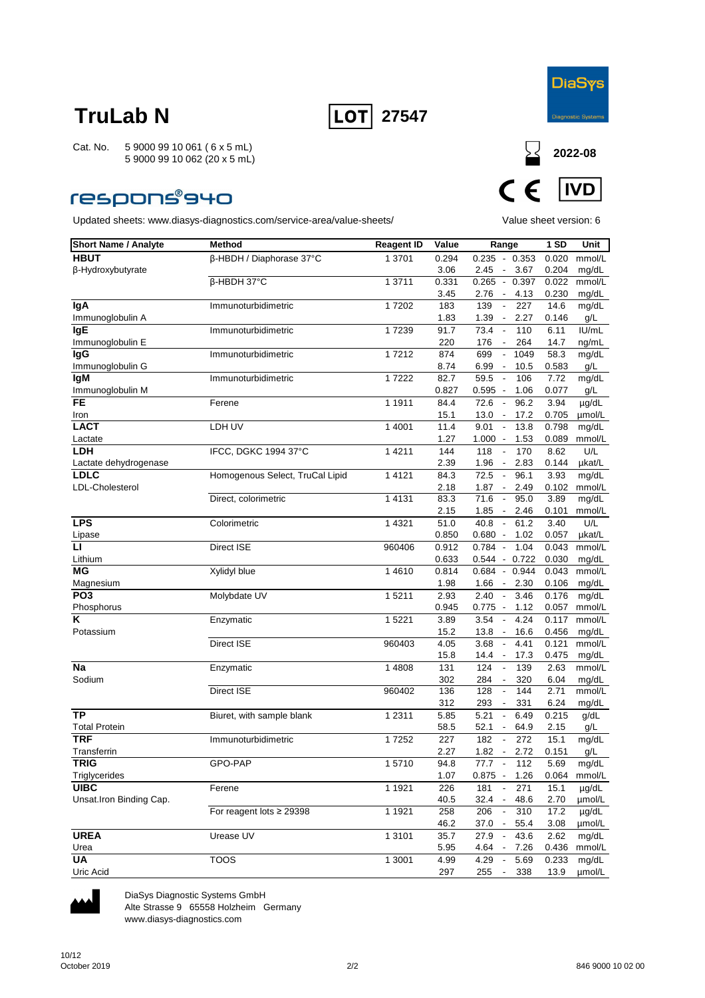



### **respons®940**

Updated sheets: www.diasys-diagnostics.com/service-area/value-sheets/ Value sheet version: 6



| <b>Short Name / Analyte</b> | <b>Method</b>                   | <b>Reagent ID</b> | Value | Range                                     | 1 SD  | Unit   |
|-----------------------------|---------------------------------|-------------------|-------|-------------------------------------------|-------|--------|
| <b>HBUT</b>                 | β-HBDH / Diaphorase 37°C        | 1 3701            | 0.294 | $0.235 - 0.353$                           | 0.020 | mmol/L |
| β-Hydroxybutyrate           |                                 |                   | 3.06  | 3.67<br>2.45<br>$\overline{\phantom{a}}$  | 0.204 | mg/dL  |
|                             | β-HBDH 37°C                     | 1 3711            | 0.331 | $0.265 - 0.397$                           | 0.022 | mmol/L |
|                             |                                 |                   | 3.45  | 4.13<br>2.76<br>$\sim$                    | 0.230 | mg/dL  |
| lgA                         | Immunoturbidimetric             | 17202             | 183   | 139<br>227<br>$\overline{\phantom{a}}$    | 14.6  | mg/dL  |
| Immunoglobulin A            |                                 |                   | 1.83  | 1.39<br>2.27<br>$\overline{\phantom{a}}$  | 0.146 | g/L    |
| <b>IgE</b>                  | Immunoturbidimetric             | 17239             | 91.7  | 73.4<br>110<br>$\overline{\phantom{a}}$   | 6.11  | IU/mL  |
| Immunoglobulin E            |                                 |                   | 220   | 176<br>264<br>$\overline{\phantom{a}}$    | 14.7  | ng/mL  |
| <b>IgG</b>                  | Immunoturbidimetric             | 17212             | 874   | 699<br>1049<br>$\overline{\phantom{a}}$   | 58.3  | mg/dL  |
| Immunoglobulin G            |                                 |                   | 8.74  | 6.99<br>10.5<br>$\overline{\phantom{a}}$  | 0.583 | g/L    |
| <b>IgM</b>                  | Immunoturbidimetric             | 17222             | 82.7  | 59.5<br>106<br>$\overline{\phantom{a}}$   | 7.72  | mg/dL  |
| Immunoglobulin M            |                                 |                   | 0.827 | $0.595 -$<br>1.06                         | 0.077 | g/L    |
| <b>FE</b>                   | Ferene                          | 1 1911            | 84.4  | 72.6<br>96.2<br>$\overline{\phantom{a}}$  | 3.94  | µg/dL  |
| Iron                        |                                 |                   | 15.1  | $13.0 -$<br>17.2                          | 0.705 | umol/L |
| <b>LACT</b>                 | LDH UV                          | 1 4001            | 11.4  | 9.01<br>13.8<br>$\overline{\phantom{a}}$  | 0.798 | mg/dL  |
| Lactate                     |                                 |                   | 1.27  | 1.000<br>1.53<br>$\overline{\phantom{a}}$ | 0.089 | mmol/L |
| LDH                         | IFCC, DGKC 1994 37°C            | 1 4 2 1 1         | 144   | 118<br>170<br>$\overline{\phantom{a}}$    | 8.62  | U/L    |
| Lactate dehydrogenase       |                                 |                   | 2.39  | 1.96<br>2.83<br>$\overline{\phantom{a}}$  | 0.144 | µkat/L |
| <b>LDLC</b>                 | Homogenous Select, TruCal Lipid | 1 4 1 2 1         | 84.3  | 72.5<br>96.1<br>$\overline{\phantom{a}}$  | 3.93  | mg/dL  |
| LDL-Cholesterol             |                                 |                   | 2.18  | 1.87<br>2.49<br>$\sim$                    | 0.102 | mmol/L |
|                             | Direct, colorimetric            | 1 4 1 3 1         | 83.3  | 95.0<br>71.6<br>$\overline{\phantom{a}}$  | 3.89  | mg/dL  |
|                             |                                 |                   | 2.15  | 1.85<br>2.46<br>$\overline{\phantom{a}}$  | 0.101 | mmol/L |
| <b>LPS</b>                  | Colorimetric                    | 1 4 3 2 1         | 51.0  | 40.8<br>$\blacksquare$<br>61.2            | 3.40  | U/L    |
| Lipase                      |                                 |                   | 0.850 | $0.680 -$<br>1.02                         | 0.057 | µkat/L |
| $\mathbf{L}$                | Direct ISE                      | 960406            | 0.912 | 0.784<br>1.04<br>$\sim$                   | 0.043 | mmol/L |
| Lithium                     |                                 |                   | 0.633 | $0.544 - 0.722$                           | 0.030 | mg/dL  |
| ΜG                          | Xylidyl blue                    | 14610             | 0.814 | 0.684<br>$-0.944$                         | 0.043 | mmol/L |
| Magnesium                   |                                 |                   | 1.98  | 1.66<br>2.30<br>$\overline{\phantom{a}}$  | 0.106 | mg/dL  |
| PO <sub>3</sub>             | Molybdate UV                    | 15211             | 2.93  | 2.40<br>$\sim$<br>3.46                    | 0.176 | mg/dL  |
| Phosphorus                  |                                 |                   | 0.945 | $0.775 -$<br>1.12                         | 0.057 | mmol/L |
| Κ                           | Enzymatic                       | 1 5 2 2 1         | 3.89  | 3.54<br>4.24<br>$\overline{\phantom{a}}$  | 0.117 | mmol/L |
| Potassium                   |                                 |                   | 15.2  | 13.8<br>16.6<br>$\overline{\phantom{a}}$  | 0.456 | mg/dL  |
|                             | Direct ISE                      | 960403            | 4.05  | 3.68<br>$\overline{\phantom{a}}$<br>4.41  | 0.121 | mmol/L |
|                             |                                 |                   | 15.8  | 14.4<br>17.3<br>$\overline{\phantom{a}}$  | 0.475 | mg/dL  |
| Na                          | Enzymatic                       | 1 4808            | 131   | 124<br>139<br>$\blacksquare$              | 2.63  | mmol/L |
| Sodium                      |                                 |                   | 302   | 284<br>320<br>$\overline{\phantom{a}}$    | 6.04  | mg/dL  |
|                             | <b>Direct ISE</b>               | 960402            | 136   | 128<br>144<br>$\overline{\phantom{a}}$    | 2.71  | mmol/L |
|                             |                                 |                   | 312   | 293<br>331                                | 6.24  | mg/dL  |
| <b>TP</b>                   | Biuret, with sample blank       | 1 2 3 1 1         | 5.85  | 5.21<br>$\overline{\phantom{a}}$<br>6.49  | 0.215 | g/dL   |
| <b>Total Protein</b>        |                                 |                   | 58.5  | 52.1<br>64.9<br>$\sim$                    | 2.15  | g/L    |
| <b>TRF</b>                  | Immunoturbidimetric             | 17252             | 227   | 272<br>182<br>$\overline{\phantom{a}}$    | 15.1  | mg/dL  |
| Transferrin                 |                                 |                   | 2.27  | 1.82<br>2.72<br>$\sim$                    | 0.151 | g/L    |
| <b>TRIG</b>                 | GPO-PAP                         | 15710             | 94.8  | 77.7<br>112                               | 5.69  | mg/dL  |
| Triglycerides               |                                 |                   | 1.07  | $0.875 - 1.26$                            | 0.064 | mmol/L |
| <b>UIBC</b>                 | Ferene                          | 1 1 9 2 1         | 226   | 181<br>271                                | 15.1  | µg/dL  |
| Unsat.Iron Binding Cap.     |                                 |                   | 40.5  | $32.4 -$<br>48.6                          | 2.70  | µmol/L |
|                             | For reagent lots ≥ 29398        | 1 1921            | 258   | 206<br>310<br>$\overline{\phantom{a}}$    | 17.2  | µg/dL  |
|                             |                                 |                   | 46.2  | 37.0<br>55.4<br>$\overline{\phantom{a}}$  | 3.08  | µmol/L |
| <b>UREA</b>                 | Urease UV                       | 1 3 1 0 1         | 35.7  | 27.9<br>43.6<br>$\overline{\phantom{a}}$  | 2.62  | mg/dL  |
| Urea                        |                                 |                   | 5.95  | $4.64 -$<br>7.26                          | 0.436 | mmol/L |
| UA                          | <b>TOOS</b>                     | 1 3001            | 4.99  | 4.29<br>5.69<br>$\overline{\phantom{a}}$  | 0.233 | mg/dL  |
| Uric Acid                   |                                 |                   | 297   | 255<br>338<br>$\overline{\phantom{a}}$    | 13.9  | µmol/L |



DiaSys Diagnostic Systems GmbH Alte Strasse 9 65558 Holzheim Germany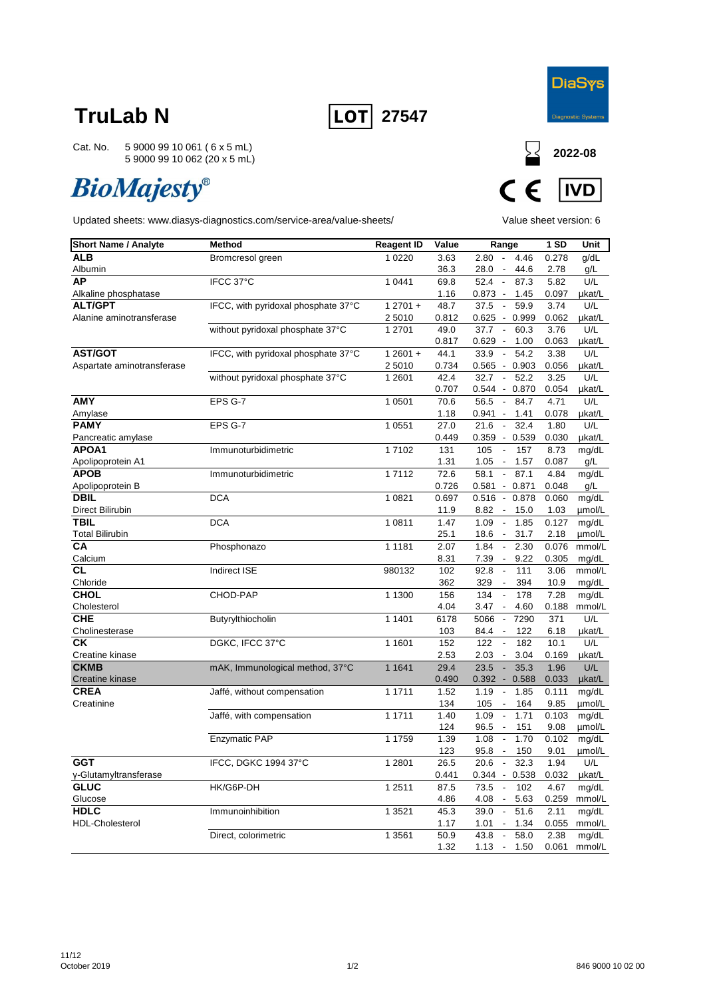



Cat. No. 5 9000 99 10 061 ( 6 x 5 mL) 5 9000 99 10 062 (20 x 5 mL)

# **BioMajesty®**



| <b>Short Name / Analyte</b>          | <b>Method</b>                       | <b>Reagent ID</b> | Value       | Range                                                               | 1 SD  | Unit   |
|--------------------------------------|-------------------------------------|-------------------|-------------|---------------------------------------------------------------------|-------|--------|
| <b>ALB</b>                           | Bromcresol green                    | 1 0 2 2 0         | 3.63        | 2.80<br>$\overline{\phantom{a}}$<br>4.46                            | 0.278 | g/dL   |
| Albumin                              |                                     |                   | 36.3        | 28.0<br>44.6<br>$\overline{\phantom{a}}$                            | 2.78  | g/L    |
| АP                                   | IFCC 37°C                           | 1 0 4 4 1         | 69.8        | 52.4<br>$\sim$<br>87.3                                              | 5.82  | U/L    |
| Alkaline phosphatase                 |                                     |                   | 1.16        | $0.873 -$<br>1.45                                                   | 0.097 | µkat/L |
| <b>ALT/GPT</b>                       | IFCC, with pyridoxal phosphate 37°C | $12701 +$         | 48.7        | 59.9<br>37.5<br>$\blacksquare$                                      | 3.74  | U/L    |
| Alanine aminotransferase             |                                     | 2 5010            | 0.812       | $0.625 -$<br>0.999                                                  | 0.062 | µkat/L |
|                                      | without pyridoxal phosphate 37°C    | 1 2701            | 49.0        | 37.7<br>$\blacksquare$<br>60.3                                      | 3.76  | U/L    |
|                                      |                                     |                   | 0.817       | 0.629<br>1.00<br>$\overline{\phantom{a}}$                           | 0.063 | µkat/L |
| <b>AST/GOT</b>                       | IFCC, with pyridoxal phosphate 37°C | $12601 +$         | 44.1        | 33.9<br>54.2<br>$\overline{\phantom{a}}$                            | 3.38  | U/L    |
| Aspartate aminotransferase           |                                     | 2 5010            | 0.734       | 0.565<br>0.903<br>$\sim$                                            | 0.056 | µkat/L |
|                                      | without pyridoxal phosphate 37°C    | 1 2601            | 42.4        | 32.7<br>52.2<br>$\blacksquare$                                      | 3.25  | U/L    |
|                                      |                                     |                   | 0.707       | 0.544<br>$\overline{\phantom{a}}$<br>0.870                          | 0.054 | µkat/L |
| <b>AMY</b>                           | EPS G-7                             | 1 0501            | 70.6        | 56.5<br>84.7<br>$\sim$                                              | 4.71  | U/L    |
| Amylase                              |                                     |                   | 1.18        | 0.941<br>$\overline{\phantom{a}}$<br>1.41                           | 0.078 | µkat/L |
| <b>PAMY</b>                          | EPS G-7                             | 1 0551            | 27.0        | 32.4<br>21.6<br>$\overline{\phantom{a}}$                            | 1.80  | U/L    |
| Pancreatic amylase                   |                                     |                   | 0.449       | 0.359<br>$-0.539$                                                   | 0.030 | µkat/L |
| APOA1                                | Immunoturbidimetric                 | 17102             | 131         | 105<br>157<br>$\overline{\phantom{a}}$                              | 8.73  | mg/dL  |
| Apolipoprotein A1                    |                                     |                   | 1.31        | 1.05<br>1.57<br>$\sim$                                              | 0.087 | g/L    |
| <b>APOB</b>                          | Immunoturbidimetric                 | 17112             | 72.6        | 87.1<br>58.1<br>$\blacksquare$                                      | 4.84  | mg/dL  |
| Apolipoprotein B                     |                                     |                   | 0.726       | $0.581 - 0.871$                                                     | 0.048 | g/L    |
| <b>DBIL</b>                          | <b>DCA</b>                          | 1 0821            | 0.697       | 0.878<br>$0.516 -$                                                  | 0.060 | mg/dL  |
| Direct Bilirubin                     |                                     |                   | 11.9        | 8.82<br>$\sim$<br>15.0                                              | 1.03  | µmol/L |
| <b>TBIL</b>                          | <b>DCA</b>                          | 1 0811            | 1.47        | 1.09<br>1.85<br>$\blacksquare$                                      | 0.127 | mg/dL  |
| <b>Total Bilirubin</b>               |                                     |                   | 25.1        | 18.6<br>$\blacksquare$<br>31.7                                      | 2.18  | umol/L |
| СA                                   | Phosphonazo                         | 1 1 1 8 1         | 2.07        | 1.84<br>2.30<br>$\overline{\phantom{a}}$                            | 0.076 | mmol/L |
| Calcium                              |                                     |                   | 8.31        | 7.39<br>9.22<br>$\overline{\phantom{a}}$                            | 0.305 | mg/dL  |
| <b>CL</b>                            | Indirect ISE                        | 980132            | 102         | 92.8<br>111<br>$\blacksquare$                                       | 3.06  | mmol/L |
| Chloride                             |                                     |                   | 362         | 329<br>394                                                          | 10.9  | mg/dL  |
| <b>CHOL</b>                          | CHOD-PAP                            | 1 1300            | 156         | 134<br>$\Box$<br>178                                                | 7.28  | mg/dL  |
| Cholesterol                          |                                     |                   | 4.04        | 3.47<br>4.60<br>$\overline{\phantom{a}}$                            | 0.188 | mmol/L |
| <b>CHE</b>                           | Butyrylthiocholin                   | 1 1401            | 6178        | 5066<br>$\overline{\phantom{a}}$<br>7290                            | 371   | U/L    |
| Cholinesterase                       |                                     |                   | 103         | 122<br>84.4                                                         | 6.18  | µkat/L |
| СK                                   | DGKC, IFCC 37°C                     | 1 1601            | 152         | 122<br>182<br>$\overline{\phantom{a}}$                              | 10.1  | U/L    |
| Creatine kinase                      |                                     |                   | 2.53        | 2.03<br>3.04                                                        | 0.169 | µkat/L |
| <b>CKMB</b>                          | mAK, Immunological method, 37°C     | 1 1 6 4 1         | 29.4        | 23.5<br>35.3<br>÷,                                                  | 1.96  | U/L    |
| Creatine kinase                      |                                     |                   | 0.490       | $0.392 -$<br>0.588                                                  | 0.033 | µkat/L |
| <b>CREA</b>                          | Jaffé, without compensation         | 1 1711            | 1.52        | 1.19<br>1.85<br>$\overline{\phantom{a}}$                            | 0.111 | mg/dL  |
| Creatinine                           |                                     |                   | 134         | 105<br>$\blacksquare$<br>164                                        | 9.85  | µmol/L |
|                                      | Jaffé, with compensation            | 1 1711            | 1.40        | 1.09<br>1.71<br>$\overline{\phantom{a}}$                            | 0.103 | mg/dL  |
|                                      |                                     | 1 1759            | 124<br>1.39 | 151<br>96.5<br>$\blacksquare$<br>1.08<br>1.70                       | 9.08  | umol/L |
|                                      | <b>Enzymatic PAP</b>                |                   |             |                                                                     | 0.102 | mg/dL  |
| <b>GGT</b>                           |                                     |                   | 123         | 95.8<br>$\overline{\phantom{a}}$<br>150                             | 9.01  | µmol/L |
|                                      | IFCC, DGKC 1994 37°C                | 1 2801            | 26.5        | 32.3<br>20.6<br>$\overline{\phantom{a}}$                            | 1.94  | U/L    |
| y-Glutamyltransferase<br><b>GLUC</b> | HK/G6P-DH                           |                   | 0.441       | $0.344 - 0.538$                                                     | 0.032 | µkat/L |
|                                      |                                     | 1 2511            | 87.5        | 73.5<br>102<br>$\overline{\phantom{a}}$<br>$\overline{\phantom{a}}$ | 4.67  | mg/dL  |
| Glucose                              |                                     |                   | 4.86        | 4.08<br>5.63                                                        | 0.259 | mmol/L |
| <b>HDLC</b>                          | Immunoinhibition                    | 1 3521            | 45.3        | 51.6<br>39.0<br>$\overline{\phantom{a}}$<br>$\blacksquare$          | 2.11  | mg/dL  |
| <b>HDL-Cholesterol</b>               |                                     |                   | 1.17        | 1.01<br>1.34<br>43.8<br>$\overline{\phantom{a}}$                    | 0.055 | mmol/L |
|                                      | Direct, colorimetric                | 1 3561            | 50.9        | 58.0                                                                | 2.38  | mg/dL  |
|                                      |                                     |                   | 1.32        | 1.13<br>$\overline{\phantom{a}}$<br>1.50                            | 0.061 | mmol/L |